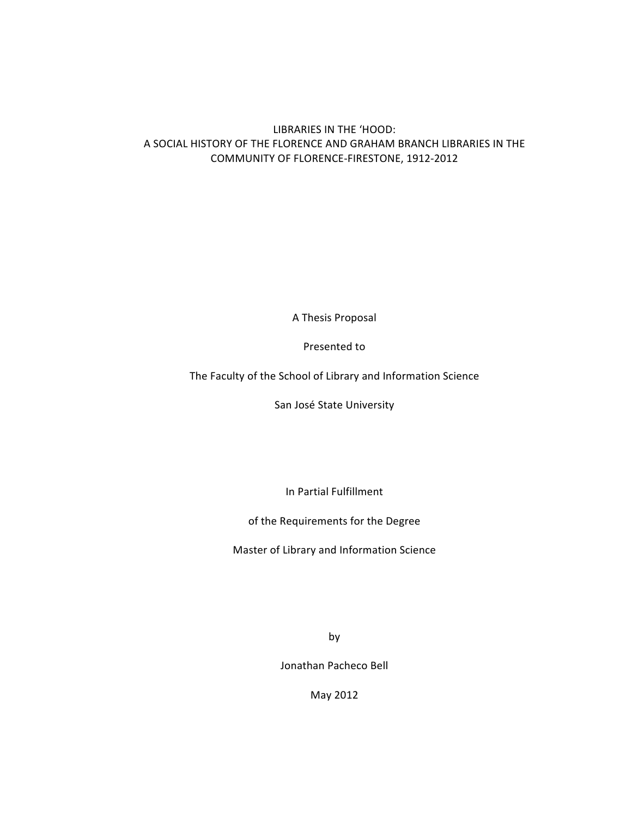# LIBRARIES IN THE 'HOOD: A SOCIAL HISTORY OF THE FLORENCE AND GRAHAM BRANCH LIBRARIES IN THE COMMUNITY OF FLORENCE-FIRESTONE, 1912-2012

A Thesis Proposal

Presented to

The Faculty of the School of Library and Information Science

San José State University

In Partial Fulfillment

of the Requirements for the Degree

Master of Library and Information Science

by

Jonathan Pacheco Bell

May 2012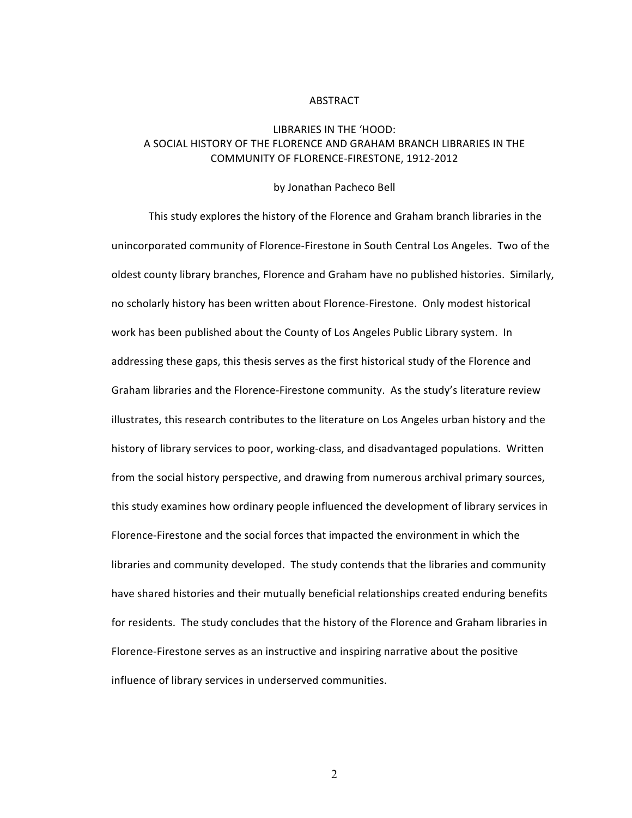#### ABSTRACT

# LIBRARIES IN THE 'HOOD: A SOCIAL HISTORY OF THE FLORENCE AND GRAHAM BRANCH LIBRARIES IN THE COMMUNITY OF FLORENCE-FIRESTONE, 1912-2012

#### by Jonathan Pacheco Bell

This study explores the history of the Florence and Graham branch libraries in the unincorporated community of Florence-Firestone in South Central Los Angeles. Two of the oldest county library branches, Florence and Graham have no published histories. Similarly, no scholarly history has been written about Florence-Firestone. Only modest historical work has been published about the County of Los Angeles Public Library system. In addressing these gaps, this thesis serves as the first historical study of the Florence and Graham libraries and the Florence-Firestone community. As the study's literature review illustrates, this research contributes to the literature on Los Angeles urban history and the history of library services to poor, working-class, and disadvantaged populations. Written from the social history perspective, and drawing from numerous archival primary sources, this study examines how ordinary people influenced the development of library services in Florence-Firestone and the social forces that impacted the environment in which the libraries and community developed. The study contends that the libraries and community have shared histories and their mutually beneficial relationships created enduring benefits for residents. The study concludes that the history of the Florence and Graham libraries in Florence-Firestone serves as an instructive and inspiring narrative about the positive influence of library services in underserved communities.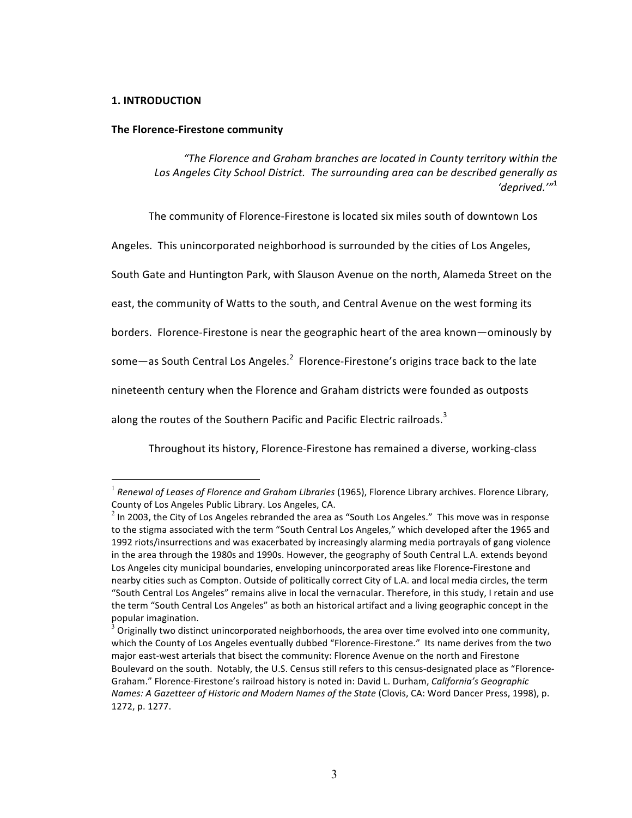## **1. INTRODUCTION**

### **The Florence-Firestone community**

*"The Florence and Graham branches are located in County territory within the* Los Angeles City School District. The surrounding area can be described generally as *'deprived.'"*<sup>1</sup>

The community of Florence-Firestone is located six miles south of downtown Los

Angeles. This unincorporated neighborhood is surrounded by the cities of Los Angeles,

South Gate and Huntington Park, with Slauson Avenue on the north, Alameda Street on the

east, the community of Watts to the south, and Central Avenue on the west forming its

borders. Florence-Firestone is near the geographic heart of the area known—ominously by

some—as South Central Los Angeles. $^2$  Florence-Firestone's origins trace back to the late

nineteenth century when the Florence and Graham districts were founded as outposts

along the routes of the Southern Pacific and Pacific Electric railroads. $3$ 

Throughout its history, Florence-Firestone has remained a diverse, working-class

<sup>&</sup>lt;sup>1</sup> Renewal of Leases of Florence and Graham Libraries (1965), Florence Library archives. Florence Library, County of Los Angeles Public Library. Los Angeles, CA.

 $^2$  In 2003, the City of Los Angeles rebranded the area as "South Los Angeles." This move was in response to the stigma associated with the term "South Central Los Angeles," which developed after the 1965 and 1992 riots/insurrections and was exacerbated by increasingly alarming media portrayals of gang violence in the area through the 1980s and 1990s. However, the geography of South Central L.A. extends beyond Los Angeles city municipal boundaries, enveloping unincorporated areas like Florence-Firestone and nearby cities such as Compton. Outside of politically correct City of L.A. and local media circles, the term "South Central Los Angeles" remains alive in local the vernacular. Therefore, in this study, I retain and use the term "South Central Los Angeles" as both an historical artifact and a living geographic concept in the popular imagination.

 $^3$  Originally two distinct unincorporated neighborhoods, the area over time evolved into one community, which the County of Los Angeles eventually dubbed "Florence-Firestone." Its name derives from the two major east-west arterials that bisect the community: Florence Avenue on the north and Firestone Boulevard on the south. Notably, the U.S. Census still refers to this census-designated place as "Florence-Graham." Florence-Firestone's railroad history is noted in: David L. Durham, *California's Geographic Names: A Gazetteer of Historic and Modern Names of the State* (Clovis, CA: Word Dancer Press, 1998), p. 1272, p. 1277.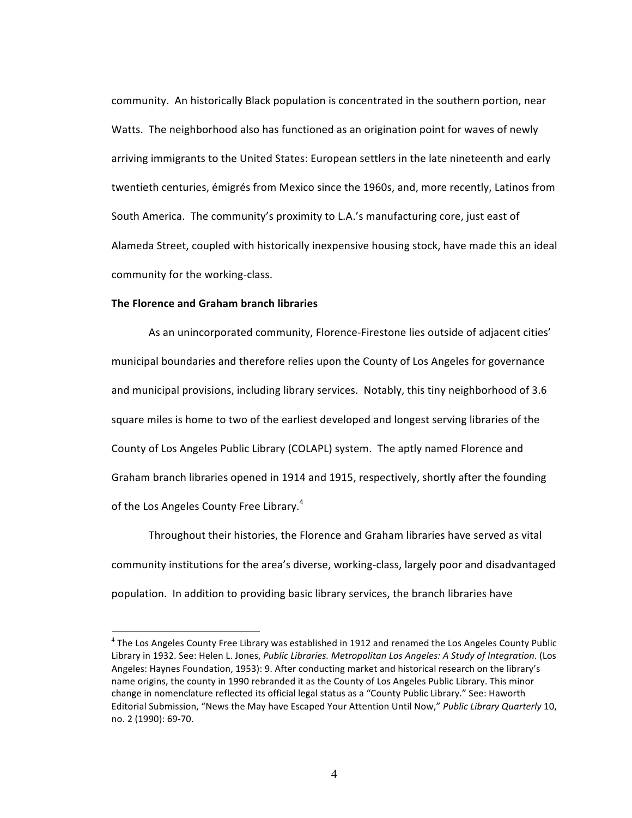community. An historically Black population is concentrated in the southern portion, near Watts. The neighborhood also has functioned as an origination point for waves of newly arriving immigrants to the United States: European settlers in the late nineteenth and early twentieth centuries, émigrés from Mexico since the 1960s, and, more recently, Latinos from South America. The community's proximity to L.A.'s manufacturing core, just east of Alameda Street, coupled with historically inexpensive housing stock, have made this an ideal community for the working-class.

## **The Florence and Graham branch libraries**

As an unincorporated community, Florence-Firestone lies outside of adjacent cities' municipal boundaries and therefore relies upon the County of Los Angeles for governance and municipal provisions, including library services. Notably, this tiny neighborhood of 3.6 square miles is home to two of the earliest developed and longest serving libraries of the County of Los Angeles Public Library (COLAPL) system. The aptly named Florence and Graham branch libraries opened in 1914 and 1915, respectively, shortly after the founding of the Los Angeles County Free Library.<sup>4</sup>

Throughout their histories, the Florence and Graham libraries have served as vital community institutions for the area's diverse, working-class, largely poor and disadvantaged population. In addition to providing basic library services, the branch libraries have

 $\frac{1}{4}$  $^4$  The Los Angeles County Free Library was established in 1912 and renamed the Los Angeles County Public Library in 1932. See: Helen L. Jones, *Public Libraries. Metropolitan Los Angeles: A Study of Integration*. (Los Angeles: Haynes Foundation, 1953): 9. After conducting market and historical research on the library's name origins, the county in 1990 rebranded it as the County of Los Angeles Public Library. This minor change in nomenclature reflected its official legal status as a "County Public Library." See: Haworth Editorial Submission, "News the May have Escaped Your Attention Until Now," Public Library Quarterly 10, no. 2 (1990): 69-70.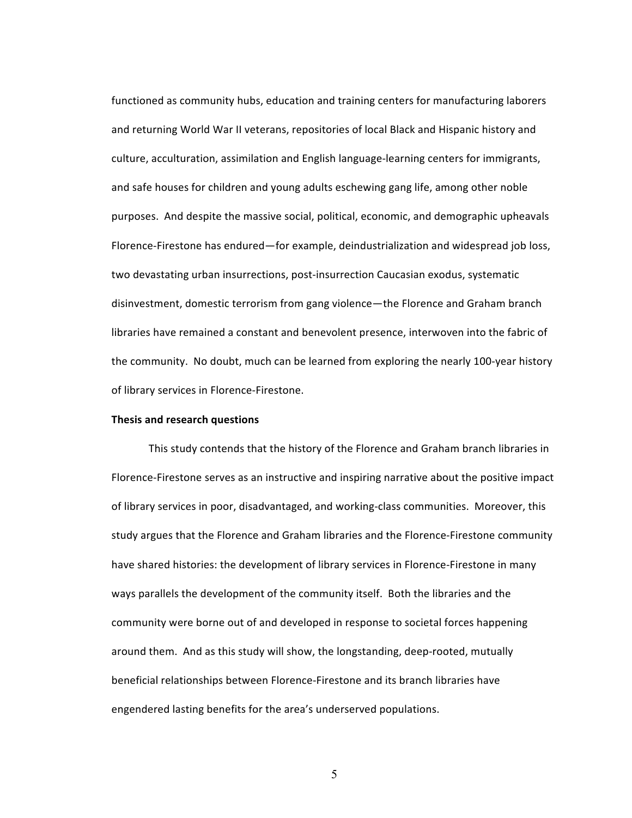functioned as community hubs, education and training centers for manufacturing laborers and returning World War II veterans, repositories of local Black and Hispanic history and culture, acculturation, assimilation and English language-learning centers for immigrants, and safe houses for children and young adults eschewing gang life, among other noble purposes. And despite the massive social, political, economic, and demographic upheavals Florence-Firestone has endured—for example, deindustrialization and widespread job loss, two devastating urban insurrections, post-insurrection Caucasian exodus, systematic disinvestment, domestic terrorism from gang violence—the Florence and Graham branch libraries have remained a constant and benevolent presence, interwoven into the fabric of the community. No doubt, much can be learned from exploring the nearly 100-year history of library services in Florence-Firestone.

### **Thesis and research questions**

This study contends that the history of the Florence and Graham branch libraries in Florence-Firestone serves as an instructive and inspiring narrative about the positive impact of library services in poor, disadvantaged, and working-class communities. Moreover, this study argues that the Florence and Graham libraries and the Florence-Firestone community have shared histories: the development of library services in Florence-Firestone in many ways parallels the development of the community itself. Both the libraries and the community were borne out of and developed in response to societal forces happening around them. And as this study will show, the longstanding, deep-rooted, mutually beneficial relationships between Florence-Firestone and its branch libraries have engendered lasting benefits for the area's underserved populations.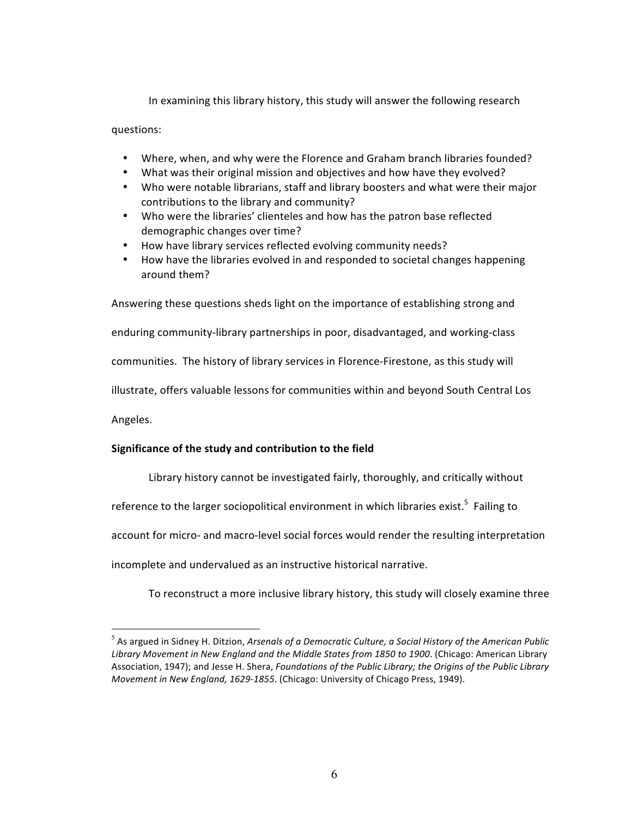In examining this library history, this study will answer the following research

questions:

- Where, when, and why were the Florence and Graham branch libraries founded?
- What was their original mission and objectives and how have they evolved?
- Who were notable librarians, staff and library boosters and what were their major contributions to the library and community?
- Who were the libraries' clienteles and how has the patron base reflected demographic changes over time?
- How have library services reflected evolving community needs?
- How have the libraries evolved in and responded to societal changes happening around them?

Answering these questions sheds light on the importance of establishing strong and enduring community-library partnerships in poor, disadvantaged, and working-class communities. The history of library services in Florence-Firestone, as this study will illustrate, offers valuable lessons for communities within and beyond South Central Los Angeles.

# Significance of the study and contribution to the field

Library history cannot be investigated fairly, thoroughly, and critically without

reference to the larger sociopolitical environment in which libraries exist.<sup>5</sup> Failing to

account for micro- and macro-level social forces would render the resulting interpretation

incomplete and undervalued as an instructive historical narrative.

To reconstruct a more inclusive library history, this study will closely examine three

 <sup>5</sup>  $^5$  As argued in Sidney H. Ditzion, *Arsenals of a Democratic Culture, a Social History of the American Public* Library Movement in New England and the Middle States from 1850 to 1900. (Chicago: American Library Association, 1947); and Jesse H. Shera, *Foundations of the Public Library; the Origins of the Public Library Movement in New England, 1629-1855.* (Chicago: University of Chicago Press, 1949).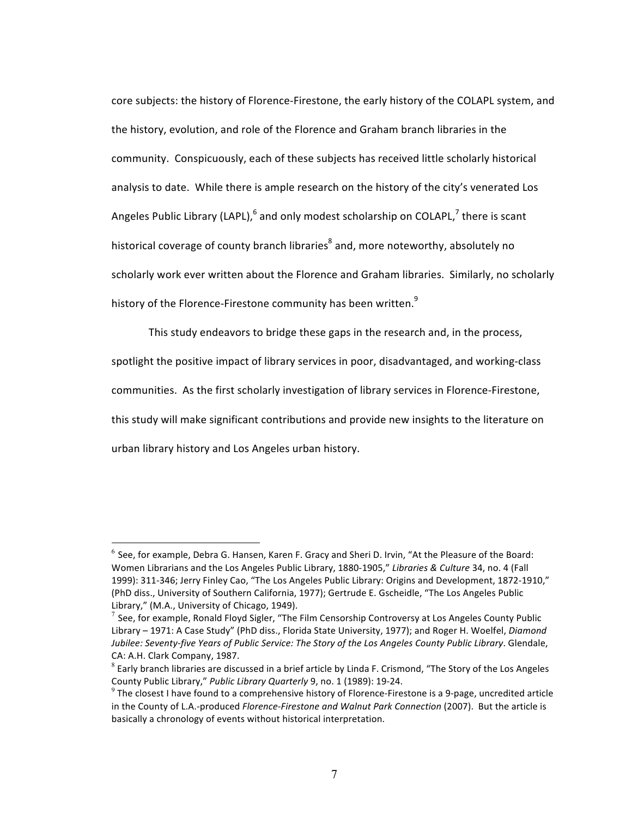core subjects: the history of Florence-Firestone, the early history of the COLAPL system, and the history, evolution, and role of the Florence and Graham branch libraries in the community. Conspicuously, each of these subjects has received little scholarly historical analysis to date. While there is ample research on the history of the city's venerated Los Angeles Public Library (LAPL),  $^6$  and only modest scholarship on COLAPL,  $^7$  there is scant historical coverage of county branch libraries<sup>8</sup> and, more noteworthy, absolutely no scholarly work ever written about the Florence and Graham libraries. Similarly, no scholarly history of the Florence-Firestone community has been written. $^9$ 

This study endeavors to bridge these gaps in the research and, in the process, spotlight the positive impact of library services in poor, disadvantaged, and working-class communities. As the first scholarly investigation of library services in Florence-Firestone, this study will make significant contributions and provide new insights to the literature on urban library history and Los Angeles urban history.

 $^6$  See, for example, Debra G. Hansen, Karen F. Gracy and Sheri D. Irvin, "At the Pleasure of the Board: Women Librarians and the Los Angeles Public Library, 1880-1905," Libraries & Culture 34, no. 4 (Fall 1999): 311-346; Jerry Finley Cao, "The Los Angeles Public Library: Origins and Development, 1872-1910," (PhD diss., University of Southern California, 1977); Gertrude E. Gscheidle, "The Los Angeles Public Library," (M.A., University of Chicago, 1949).

 $^7$  See, for example, Ronald Floyd Sigler, "The Film Censorship Controversy at Los Angeles County Public Library - 1971: A Case Study" (PhD diss., Florida State University, 1977); and Roger H. Woelfel, *Diamond Jubilee: Seventy-five Years of Public Service: The Story of the Los Angeles County Public Library.* Glendale, CA: A.H. Clark Company, 1987.

 $^8$  Early branch libraries are discussed in a brief article by Linda F. Crismond, "The Story of the Los Angeles County Public Library," Public Library Quarterly 9, no. 1 (1989): 19-24.

 $^9$  The closest I have found to a comprehensive history of Florence-Firestone is a 9-page, uncredited article in the County of L.A.-produced *Florence-Firestone and Walnut Park Connection* (2007). But the article is basically a chronology of events without historical interpretation.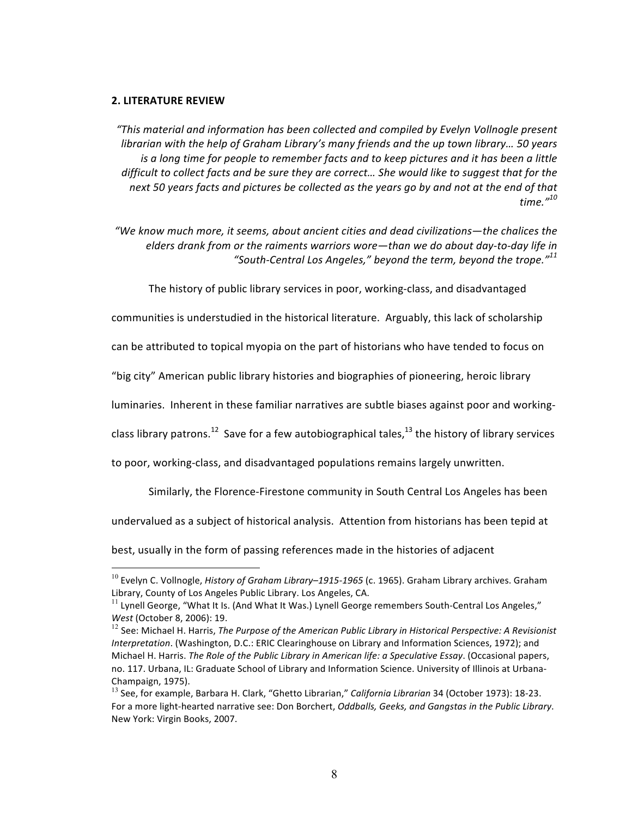#### **2. LITERATURE REVIEW**

 *"This material and information has been collected and compiled by Evelyn Vollnogle present librarian* with the help of Graham Library's many friends and the up town library... 50 years *is* a long time for people to remember facts and to keep pictures and it has been a little *difficult to collect facts and be sure they are correct... She would like to suggest that for the* next 50 years facts and pictures be collected as the years go by and not at the end of that *time."<sup>10</sup>*

"We know much more, it seems, about ancient cities and dead civilizations—the chalices the *elders* drank from or the raiments warriors wore—than we do about day-to-day life in "South-Central Los Angeles," beyond the term, beyond the trope."<sup>11</sup>

The history of public library services in poor, working-class, and disadvantaged

communities is understudied in the historical literature. Arguably, this lack of scholarship

can be attributed to topical myopia on the part of historians who have tended to focus on

"big city" American public library histories and biographies of pioneering, heroic library

luminaries. Inherent in these familiar narratives are subtle biases against poor and working-

class library patrons.<sup>12</sup> Save for a few autobiographical tales,<sup>13</sup> the history of library services

to poor, working-class, and disadvantaged populations remains largely unwritten.

Similarly, the Florence-Firestone community in South Central Los Angeles has been

undervalued as a subject of historical analysis. Attention from historians has been tepid at

best, usually in the form of passing references made in the histories of adjacent

<sup>&</sup>lt;sup>10</sup> Evelyn C. Vollnogle, *History of Graham Library–1915-1965* (c. 1965). Graham Library archives. Graham Library, County of Los Angeles Public Library. Los Angeles, CA.

 $11$  Lynell George, "What It Is. (And What It Was.) Lynell George remembers South-Central Los Angeles," *West* (October 8, 2006): 19.

<sup>&</sup>lt;sup>12</sup> See: Michael H. Harris, *The Purpose of the American Public Library in Historical Perspective: A Revisionist Interpretation*. (Washington, D.C.: ERIC Clearinghouse on Library and Information Sciences, 1972); and Michael H. Harris. The Role of the Public Library in American life: a Speculative Essay. (Occasional papers, no. 117. Urbana, IL: Graduate School of Library and Information Science. University of Illinois at Urbana-Champaign, 1975).

<sup>&</sup>lt;sup>13</sup> See, for example, Barbara H. Clark, "Ghetto Librarian," *California Librarian* 34 (October 1973): 18-23. For a more light-hearted narrative see: Don Borchert, *Oddballs, Geeks, and Gangstas in the Public Library*. New York: Virgin Books, 2007.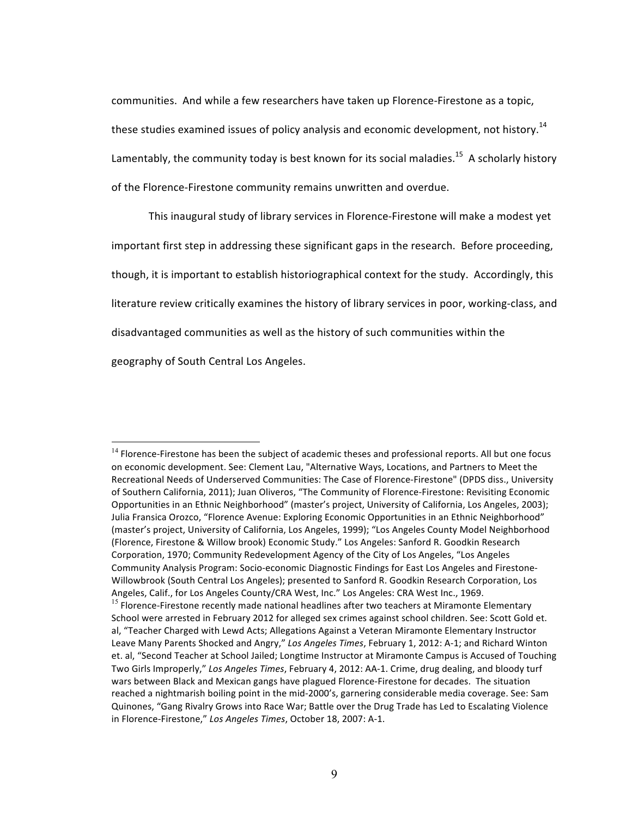communities. And while a few researchers have taken up Florence-Firestone as a topic, these studies examined issues of policy analysis and economic development, not history.<sup>14</sup> Lamentably, the community today is best known for its social maladies.<sup>15</sup> A scholarly history of the Florence-Firestone community remains unwritten and overdue.

This inaugural study of library services in Florence-Firestone will make a modest yet important first step in addressing these significant gaps in the research. Before proceeding, though, it is important to establish historiographical context for the study. Accordingly, this literature review critically examines the history of library services in poor, working-class, and disadvantaged communities as well as the history of such communities within the geography of South Central Los Angeles.

 $14$  Florence-Firestone has been the subject of academic theses and professional reports. All but one focus on economic development. See: Clement Lau, "Alternative Ways, Locations, and Partners to Meet the Recreational Needs of Underserved Communities: The Case of Florence-Firestone" (DPDS diss., University of Southern California, 2011); Juan Oliveros, "The Community of Florence-Firestone: Revisiting Economic Opportunities in an Ethnic Neighborhood" (master's project, University of California, Los Angeles, 2003); Julia Fransica Orozco, "Florence Avenue: Exploring Economic Opportunities in an Ethnic Neighborhood" (master's project, University of California, Los Angeles, 1999); "Los Angeles County Model Neighborhood (Florence, Firestone & Willow brook) Economic Study." Los Angeles: Sanford R. Goodkin Research Corporation, 1970; Community Redevelopment Agency of the City of Los Angeles, "Los Angeles Community Analysis Program: Socio-economic Diagnostic Findings for East Los Angeles and Firestone-Willowbrook (South Central Los Angeles); presented to Sanford R. Goodkin Research Corporation, Los Angeles, Calif., for Los Angeles County/CRA West, Inc." Los Angeles: CRA West Inc., 1969.  $15$  Florence-Firestone recently made national headlines after two teachers at Miramonte Elementary School were arrested in February 2012 for alleged sex crimes against school children. See: Scott Gold et. al, "Teacher Charged with Lewd Acts; Allegations Against a Veteran Miramonte Elementary Instructor Leave Many Parents Shocked and Angry," Los Angeles Times, February 1, 2012: A-1; and Richard Winton et. al, "Second Teacher at School Jailed; Longtime Instructor at Miramonte Campus is Accused of Touching Two Girls Improperly," Los Angeles Times, February 4, 2012: AA-1. Crime, drug dealing, and bloody turf wars between Black and Mexican gangs have plagued Florence-Firestone for decades. The situation reached a nightmarish boiling point in the mid-2000's, garnering considerable media coverage. See: Sam Quinones, "Gang Rivalry Grows into Race War; Battle over the Drug Trade has Led to Escalating Violence in Florence-Firestone," Los Angeles Times, October 18, 2007: A-1.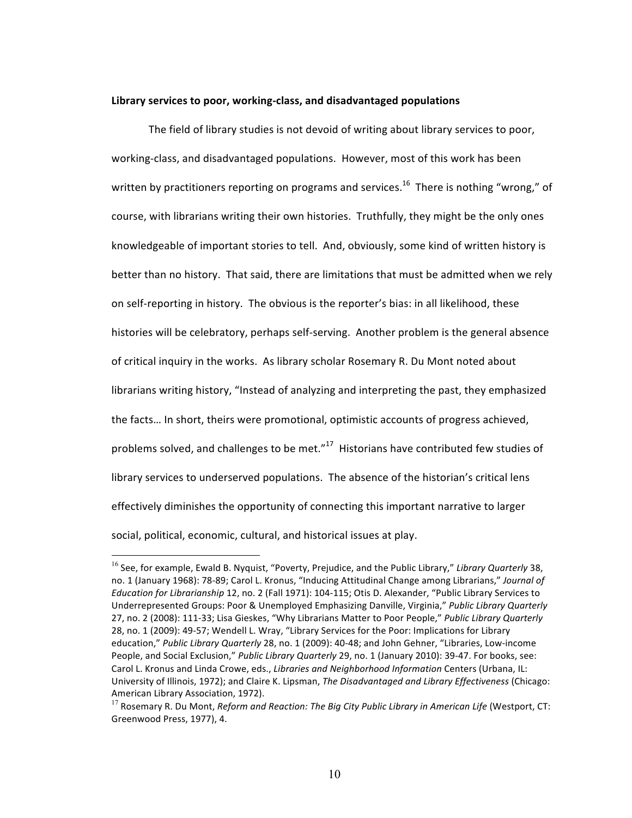#### Library services to poor, working-class, and disadvantaged populations

The field of library studies is not devoid of writing about library services to poor, working-class, and disadvantaged populations. However, most of this work has been written by practitioners reporting on programs and services.<sup>16</sup> There is nothing "wrong," of course, with librarians writing their own histories. Truthfully, they might be the only ones knowledgeable of important stories to tell. And, obviously, some kind of written history is better than no history. That said, there are limitations that must be admitted when we rely on self-reporting in history. The obvious is the reporter's bias: in all likelihood, these histories will be celebratory, perhaps self-serving. Another problem is the general absence of critical inquiry in the works. As library scholar Rosemary R. Du Mont noted about librarians writing history, "Instead of analyzing and interpreting the past, they emphasized the facts... In short, theirs were promotional, optimistic accounts of progress achieved, problems solved, and challenges to be met." $17$  Historians have contributed few studies of library services to underserved populations. The absence of the historian's critical lens effectively diminishes the opportunity of connecting this important narrative to larger social, political, economic, cultural, and historical issues at play.

<sup>&</sup>lt;sup>16</sup> See, for example, Ewald B. Nyquist, "Poverty, Prejudice, and the Public Library," *Library Quarterly* 38, no. 1 (January 1968): 78-89; Carol L. Kronus, "Inducing Attitudinal Change among Librarians," Journal of *Education for Librarianship* 12, no. 2 (Fall 1971): 104-115; Otis D. Alexander, "Public Library Services to Underrepresented Groups: Poor & Unemployed Emphasizing Danville, Virginia," Public Library Quarterly 27, no. 2 (2008): 111-33; Lisa Gieskes, "Why Librarians Matter to Poor People," Public Library Quarterly 28, no. 1 (2009): 49-57; Wendell L. Wray, "Library Services for the Poor: Implications for Library education," Public Library Quarterly 28, no. 1 (2009): 40-48; and John Gehner, "Libraries, Low-income People, and Social Exclusion," Public Library Quarterly 29, no. 1 (January 2010): 39-47. For books, see: Carol L. Kronus and Linda Crowe, eds., *Libraries and Neighborhood Information* Centers (Urbana, IL: University of Illinois, 1972); and Claire K. Lipsman, *The Disadvantaged and Library Effectiveness* (Chicago: American Library Association, 1972).

<sup>&</sup>lt;sup>17</sup> Rosemary R. Du Mont, *Reform and Reaction: The Big City Public Library in American Life* (Westport, CT: Greenwood Press, 1977), 4.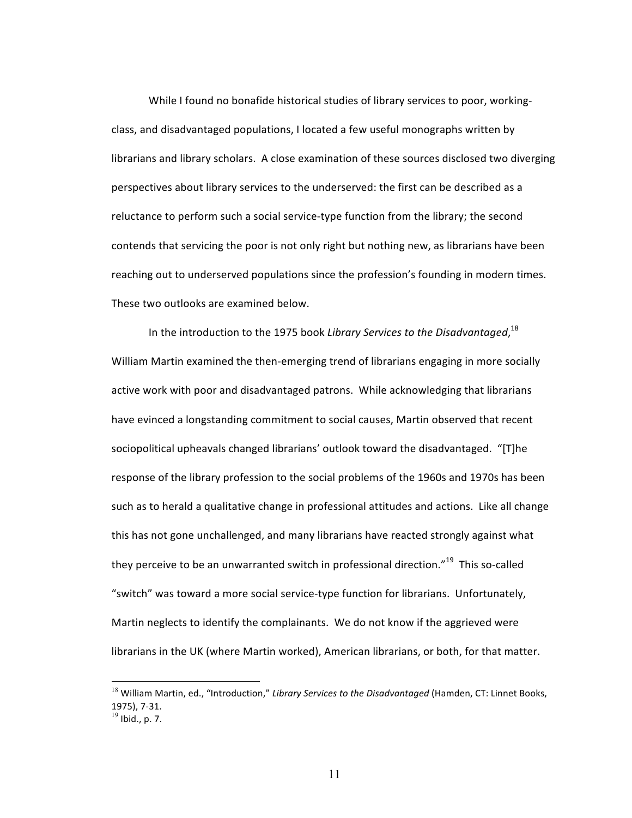While I found no bonafide historical studies of library services to poor, workingclass, and disadvantaged populations, I located a few useful monographs written by librarians and library scholars. A close examination of these sources disclosed two diverging perspectives about library services to the underserved: the first can be described as a reluctance to perform such a social service-type function from the library; the second contends that servicing the poor is not only right but nothing new, as librarians have been reaching out to underserved populations since the profession's founding in modern times. These two outlooks are examined below.

In the introduction to the 1975 book *Library Services to the Disadvantaged,*  $^{18}$ William Martin examined the then-emerging trend of librarians engaging in more socially active work with poor and disadvantaged patrons. While acknowledging that librarians have evinced a longstanding commitment to social causes, Martin observed that recent sociopolitical upheavals changed librarians' outlook toward the disadvantaged. "[T]he response of the library profession to the social problems of the 1960s and 1970s has been such as to herald a qualitative change in professional attitudes and actions. Like all change this has not gone unchallenged, and many librarians have reacted strongly against what they perceive to be an unwarranted switch in professional direction."<sup>19</sup> This so-called "switch" was toward a more social service-type function for librarians. Unfortunately, Martin neglects to identify the complainants. We do not know if the aggrieved were librarians in the UK (where Martin worked), American librarians, or both, for that matter.

<sup>&</sup>lt;sup>18</sup> William Martin, ed., "Introduction," Library Services to the Disadvantaged (Hamden, CT: Linnet Books, 1975), 7-31.  $^{19}$  Ibid., p. 7.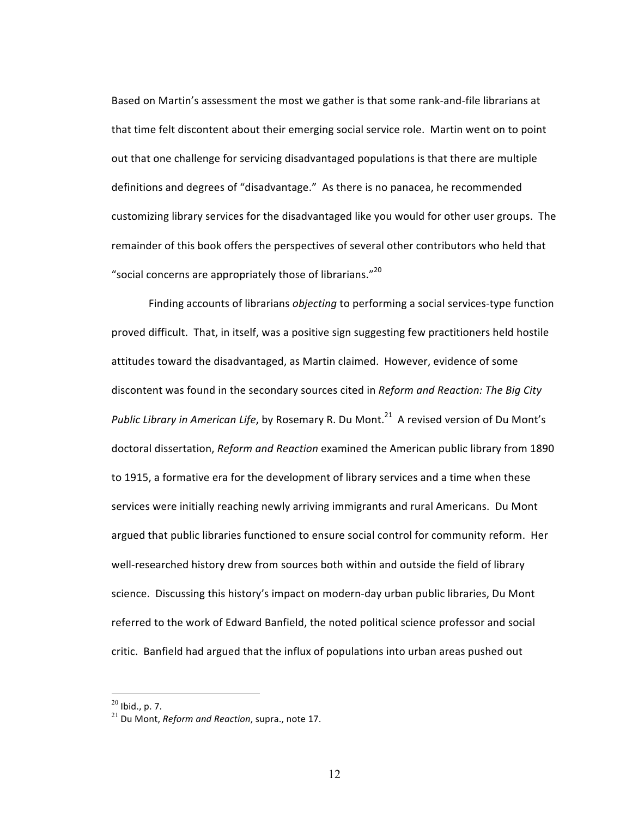Based on Martin's assessment the most we gather is that some rank-and-file librarians at that time felt discontent about their emerging social service role. Martin went on to point out that one challenge for servicing disadvantaged populations is that there are multiple definitions and degrees of "disadvantage." As there is no panacea, he recommended customizing library services for the disadvantaged like you would for other user groups. The remainder of this book offers the perspectives of several other contributors who held that "social concerns are appropriately those of librarians."<sup>20</sup>

Finding accounts of librarians *objecting* to performing a social services-type function proved difficult. That, in itself, was a positive sign suggesting few practitioners held hostile attitudes toward the disadvantaged, as Martin claimed. However, evidence of some discontent was found in the secondary sources cited in *Reform and Reaction: The Big City Public Library in American Life*, by Rosemary R. Du Mont.<sup>21</sup> A revised version of Du Mont's doctoral dissertation, *Reform and Reaction* examined the American public library from 1890 to 1915, a formative era for the development of library services and a time when these services were initially reaching newly arriving immigrants and rural Americans. Du Mont argued that public libraries functioned to ensure social control for community reform. Her well-researched history drew from sources both within and outside the field of library science. Discussing this history's impact on modern-day urban public libraries, Du Mont referred to the work of Edward Banfield, the noted political science professor and social critic. Banfield had argued that the influx of populations into urban areas pushed out

 $^{20}$  Ibid., p. 7.

 $^{21}$  Du Mont, *Reform and Reaction*, supra., note 17.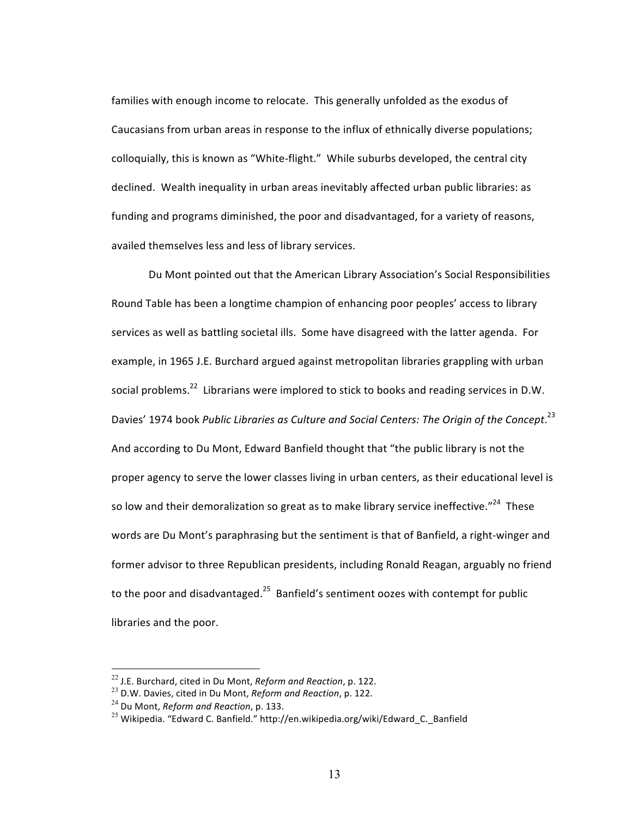families with enough income to relocate. This generally unfolded as the exodus of Caucasians from urban areas in response to the influx of ethnically diverse populations; colloquially, this is known as "White-flight." While suburbs developed, the central city declined. Wealth inequality in urban areas inevitably affected urban public libraries: as funding and programs diminished, the poor and disadvantaged, for a variety of reasons, availed themselves less and less of library services.

Du Mont pointed out that the American Library Association's Social Responsibilities Round Table has been a longtime champion of enhancing poor peoples' access to library services as well as battling societal ills. Some have disagreed with the latter agenda. For example, in 1965 J.E. Burchard argued against metropolitan libraries grappling with urban social problems.<sup>22</sup> Librarians were implored to stick to books and reading services in D.W. Davies' 1974 book Public Libraries as Culture and Social Centers: The Origin of the Concept.<sup>23</sup> And according to Du Mont, Edward Banfield thought that "the public library is not the proper agency to serve the lower classes living in urban centers, as their educational level is so low and their demoralization so great as to make library service ineffective."<sup>24</sup> These words are Du Mont's paraphrasing but the sentiment is that of Banfield, a right-winger and former advisor to three Republican presidents, including Ronald Reagan, arguably no friend to the poor and disadvantaged.<sup>25</sup> Banfield's sentiment oozes with contempt for public libraries and the poor.

<sup>&</sup>lt;sup>22</sup> J.E. Burchard, cited in Du Mont, *Reform and Reaction*, p. 122.

<sup>&</sup>lt;sup>23</sup> D.W. Davies, cited in Du Mont, *Reform and Reaction*, p. 122.

<sup>&</sup>lt;sup>24</sup> Du Mont, *Reform and Reaction*, p. 133.

<sup>&</sup>lt;sup>25</sup> Wikipedia. "Edward C. Banfield." http://en.wikipedia.org/wiki/Edward C. Banfield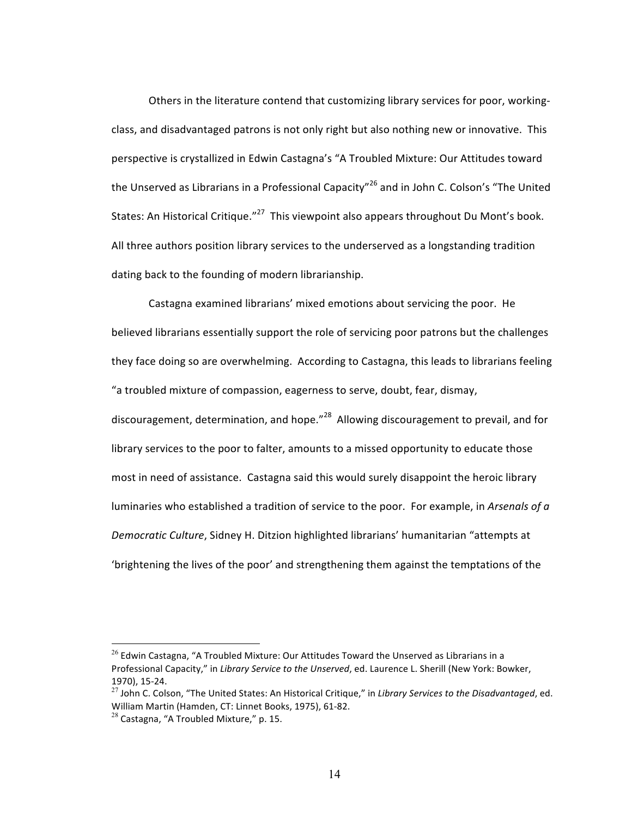Others in the literature contend that customizing library services for poor, workingclass, and disadvantaged patrons is not only right but also nothing new or innovative. This perspective is crystallized in Edwin Castagna's "A Troubled Mixture: Our Attitudes toward the Unserved as Librarians in a Professional Capacity"<sup>26</sup> and in John C. Colson's "The United States: An Historical Critique." $^{27}$  This viewpoint also appears throughout Du Mont's book. All three authors position library services to the underserved as a longstanding tradition dating back to the founding of modern librarianship.

Castagna examined librarians' mixed emotions about servicing the poor. He believed librarians essentially support the role of servicing poor patrons but the challenges they face doing so are overwhelming. According to Castagna, this leads to librarians feeling "a troubled mixture of compassion, eagerness to serve, doubt, fear, dismay, discouragement, determination, and hope."<sup>28</sup> Allowing discouragement to prevail, and for library services to the poor to falter, amounts to a missed opportunity to educate those most in need of assistance. Castagna said this would surely disappoint the heroic library luminaries who established a tradition of service to the poor. For example, in *Arsenals of a* Democratic Culture, Sidney H. Ditzion highlighted librarians' humanitarian "attempts at 'brightening the lives of the poor' and strengthening them against the temptations of the

 $^{26}$  Edwin Castagna, "A Troubled Mixture: Our Attitudes Toward the Unserved as Librarians in a Professional Capacity," in *Library Service to the Unserved*, ed. Laurence L. Sherill (New York: Bowker, 1970), 15-24. 

 $^{27}$  John C. Colson, "The United States: An Historical Critique," in *Library Services to the Disadvantaged*, ed. William Martin (Hamden, CT: Linnet Books, 1975), 61-82.

 $^{28}$  Castagna, "A Troubled Mixture," p. 15.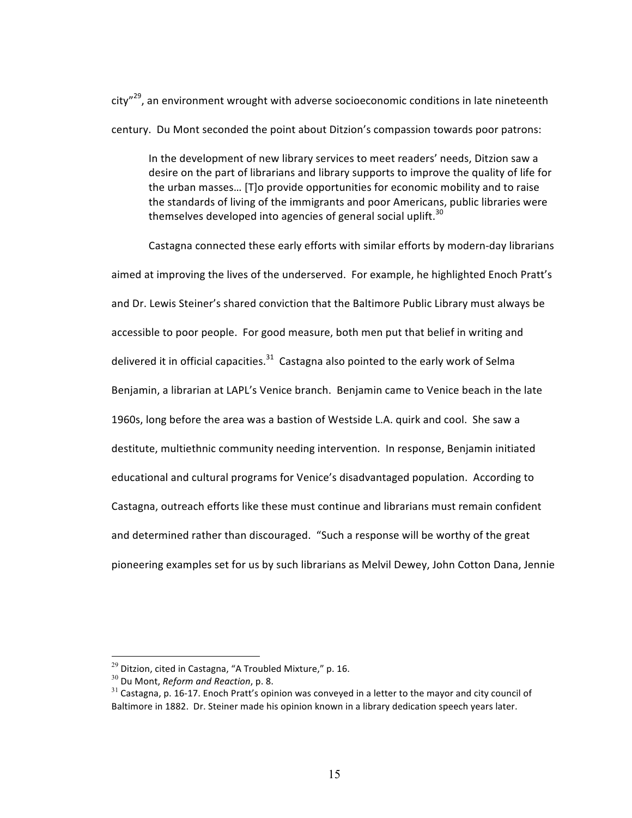$city''^{29}$ , an environment wrought with adverse socioeconomic conditions in late nineteenth century. Du Mont seconded the point about Ditzion's compassion towards poor patrons:

In the development of new library services to meet readers' needs, Ditzion saw a desire on the part of librarians and library supports to improve the quality of life for the urban masses... [T]o provide opportunities for economic mobility and to raise the standards of living of the immigrants and poor Americans, public libraries were themselves developed into agencies of general social uplift.<sup>30</sup>

Castagna connected these early efforts with similar efforts by modern-day librarians aimed at improving the lives of the underserved. For example, he highlighted Enoch Pratt's and Dr. Lewis Steiner's shared conviction that the Baltimore Public Library must always be accessible to poor people. For good measure, both men put that belief in writing and delivered it in official capacities. $^{31}$  Castagna also pointed to the early work of Selma Benjamin, a librarian at LAPL's Venice branch. Benjamin came to Venice beach in the late 1960s, long before the area was a bastion of Westside L.A. quirk and cool. She saw a destitute, multiethnic community needing intervention. In response, Benjamin initiated educational and cultural programs for Venice's disadvantaged population. According to Castagna, outreach efforts like these must continue and librarians must remain confident and determined rather than discouraged. "Such a response will be worthy of the great pioneering examples set for us by such librarians as Melvil Dewey, John Cotton Dana, Jennie

 $^{29}$  Ditzion, cited in Castagna, "A Troubled Mixture," p. 16.

<sup>&</sup>lt;sup>30</sup> Du Mont, *Reform and Reaction*, p. 8.

 $31$  Castagna, p. 16-17. Enoch Pratt's opinion was conveyed in a letter to the mayor and city council of Baltimore in 1882. Dr. Steiner made his opinion known in a library dedication speech years later.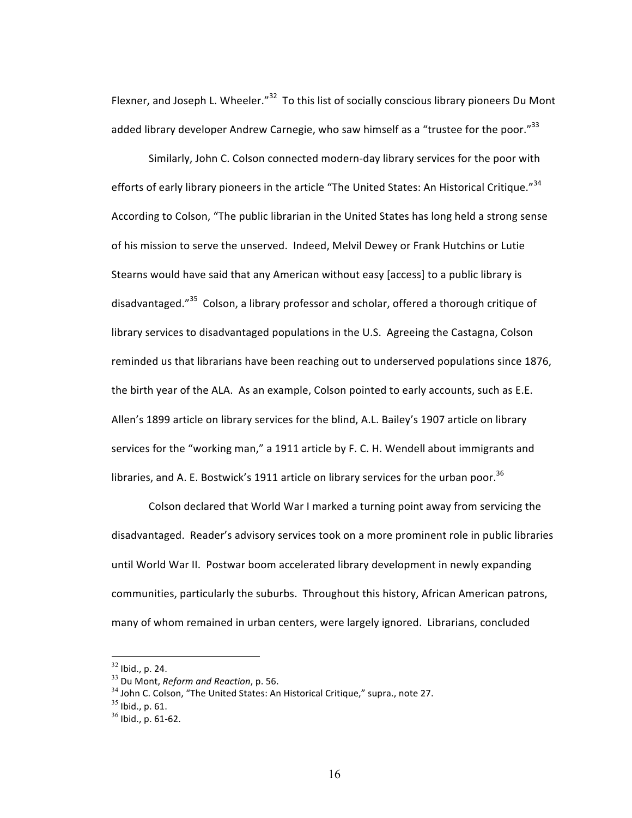Flexner, and Joseph L. Wheeler."<sup>32</sup> To this list of socially conscious library pioneers Du Mont added library developer Andrew Carnegie, who saw himself as a "trustee for the poor."<sup>33</sup>

Similarly, John C. Colson connected modern-day library services for the poor with efforts of early library pioneers in the article "The United States: An Historical Critique."<sup>34</sup> According to Colson, "The public librarian in the United States has long held a strong sense of his mission to serve the unserved. Indeed, Melvil Dewey or Frank Hutchins or Lutie Stearns would have said that any American without easy [access] to a public library is disadvantaged."<sup>35</sup> Colson, a library professor and scholar, offered a thorough critique of library services to disadvantaged populations in the U.S. Agreeing the Castagna, Colson reminded us that librarians have been reaching out to underserved populations since 1876, the birth year of the ALA. As an example, Colson pointed to early accounts, such as E.E. Allen's 1899 article on library services for the blind, A.L. Bailey's 1907 article on library services for the "working man," a 1911 article by F. C. H. Wendell about immigrants and libraries, and A. E. Bostwick's 1911 article on library services for the urban poor.<sup>36</sup>

Colson declared that World War I marked a turning point away from servicing the disadvantaged. Reader's advisory services took on a more prominent role in public libraries until World War II. Postwar boom accelerated library development in newly expanding communities, particularly the suburbs. Throughout this history, African American patrons, many of whom remained in urban centers, were largely ignored. Librarians, concluded

 $32$  Ibid., p. 24.

<sup>&</sup>lt;sup>33</sup> Du Mont, *Reform and Reaction*, p. 56.

 $34$  John C. Colson, "The United States: An Historical Critique," supra., note 27.

 $35$  Ibid., p. 61.

 $36$  Ibid., p. 61-62.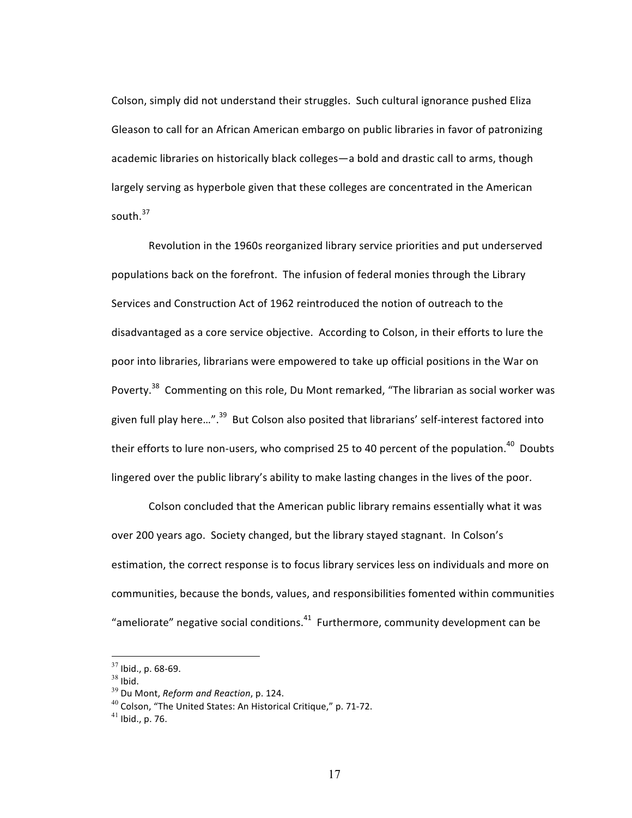Colson, simply did not understand their struggles. Such cultural ignorance pushed Eliza Gleason to call for an African American embargo on public libraries in favor of patronizing academic libraries on historically black colleges—a bold and drastic call to arms, though largely serving as hyperbole given that these colleges are concentrated in the American south. $37$ 

Revolution in the 1960s reorganized library service priorities and put underserved populations back on the forefront. The infusion of federal monies through the Library Services and Construction Act of 1962 reintroduced the notion of outreach to the disadvantaged as a core service objective. According to Colson, in their efforts to lure the poor into libraries, librarians were empowered to take up official positions in the War on Poverty.<sup>38</sup> Commenting on this role, Du Mont remarked, "The librarian as social worker was given full play here...".<sup>39</sup> But Colson also posited that librarians' self-interest factored into their efforts to lure non-users, who comprised 25 to 40 percent of the population.<sup>40</sup> Doubts lingered over the public library's ability to make lasting changes in the lives of the poor.

Colson concluded that the American public library remains essentially what it was over 200 years ago. Society changed, but the library stayed stagnant. In Colson's estimation, the correct response is to focus library services less on individuals and more on communities, because the bonds, values, and responsibilities fomented within communities "ameliorate" negative social conditions. $41$  Furthermore, community development can be

 $37$  Ibid., p. 68-69.

 $38$  Ibid.

<sup>&</sup>lt;sup>39</sup> Du Mont, *Reform and Reaction*, p. 124.

 $40$  Colson, "The United States: An Historical Critique," p. 71-72.

 $41$  Ibid., p. 76.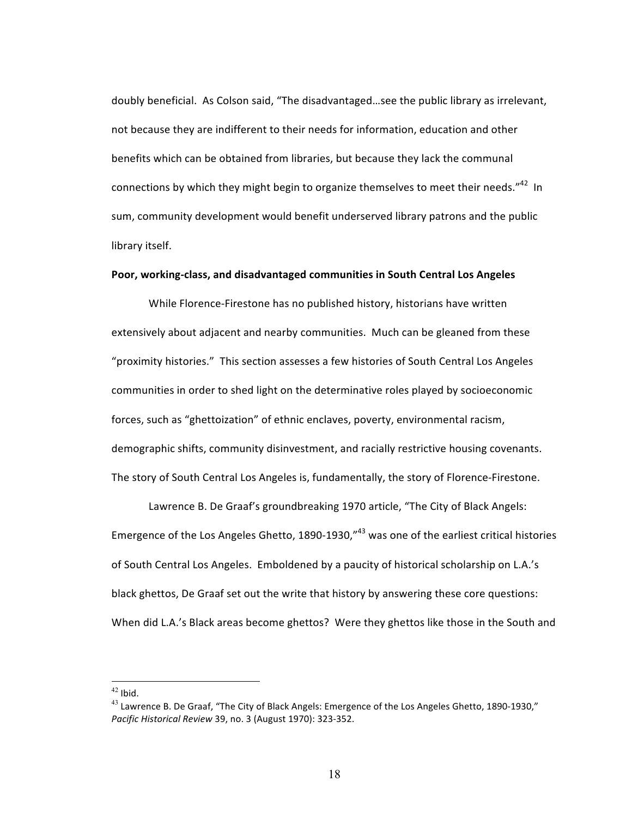doubly beneficial. As Colson said, "The disadvantaged...see the public library as irrelevant, not because they are indifferent to their needs for information, education and other benefits which can be obtained from libraries, but because they lack the communal connections by which they might begin to organize themselves to meet their needs. $n^{42}$  In sum, community development would benefit underserved library patrons and the public library itself.

### Poor, working-class, and disadvantaged communities in South Central Los Angeles

While Florence-Firestone has no published history, historians have written extensively about adjacent and nearby communities. Much can be gleaned from these "proximity histories." This section assesses a few histories of South Central Los Angeles communities in order to shed light on the determinative roles played by socioeconomic forces, such as "ghettoization" of ethnic enclaves, poverty, environmental racism, demographic shifts, community disinvestment, and racially restrictive housing covenants. The story of South Central Los Angeles is, fundamentally, the story of Florence-Firestone.

Lawrence B. De Graaf's groundbreaking 1970 article, "The City of Black Angels: Emergence of the Los Angeles Ghetto, 1890-1930," $43$  was one of the earliest critical histories of South Central Los Angeles. Emboldened by a paucity of historical scholarship on L.A.'s black ghettos, De Graaf set out the write that history by answering these core questions: When did L.A.'s Black areas become ghettos? Were they ghettos like those in the South and

 $42$  Ibid.

 $^{43}$  Lawrence B. De Graaf, "The City of Black Angels: Emergence of the Los Angeles Ghetto, 1890-1930," *Pacific Historical Review* 39, no. 3 (August 1970): 323-352.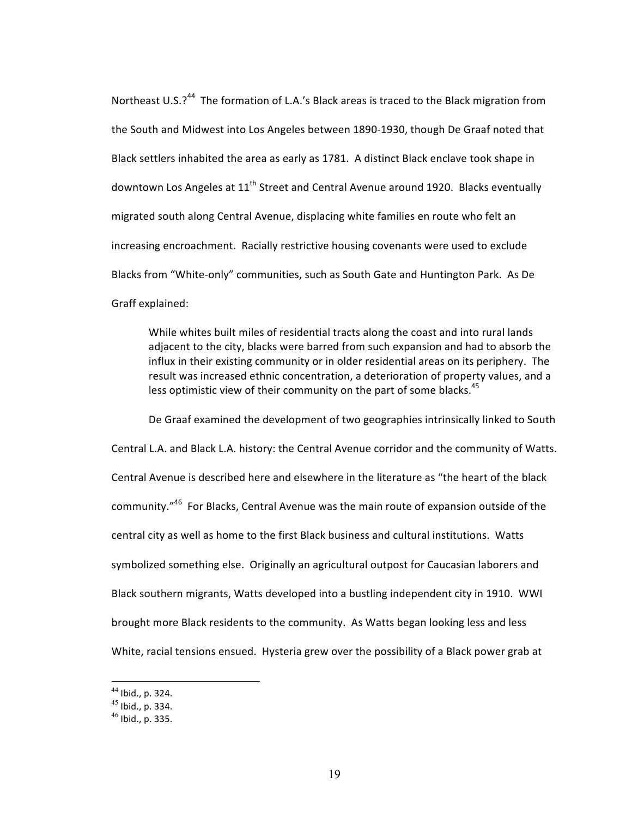Northeast U.S.?<sup>44</sup> The formation of L.A.'s Black areas is traced to the Black migration from the South and Midwest into Los Angeles between 1890-1930, though De Graaf noted that Black settlers inhabited the area as early as 1781. A distinct Black enclave took shape in downtown Los Angeles at  $11<sup>th</sup>$  Street and Central Avenue around 1920. Blacks eventually migrated south along Central Avenue, displacing white families en route who felt an increasing encroachment. Racially restrictive housing covenants were used to exclude Blacks from "White-only" communities, such as South Gate and Huntington Park. As De Graff explained:

While whites built miles of residential tracts along the coast and into rural lands adjacent to the city, blacks were barred from such expansion and had to absorb the influx in their existing community or in older residential areas on its periphery. The result was increased ethnic concentration, a deterioration of property values, and a less optimistic view of their community on the part of some blacks.<sup>45</sup>

De Graaf examined the development of two geographies intrinsically linked to South Central L.A. and Black L.A. history: the Central Avenue corridor and the community of Watts. Central Avenue is described here and elsewhere in the literature as "the heart of the black community." $46$  For Blacks, Central Avenue was the main route of expansion outside of the central city as well as home to the first Black business and cultural institutions. Watts symbolized something else. Originally an agricultural outpost for Caucasian laborers and Black southern migrants, Watts developed into a bustling independent city in 1910. WWI brought more Black residents to the community. As Watts began looking less and less White, racial tensions ensued. Hysteria grew over the possibility of a Black power grab at

 $44$  Ibid., p. 324.

 $45$  Ibid., p. 334.

 $46$  Ibid., p. 335.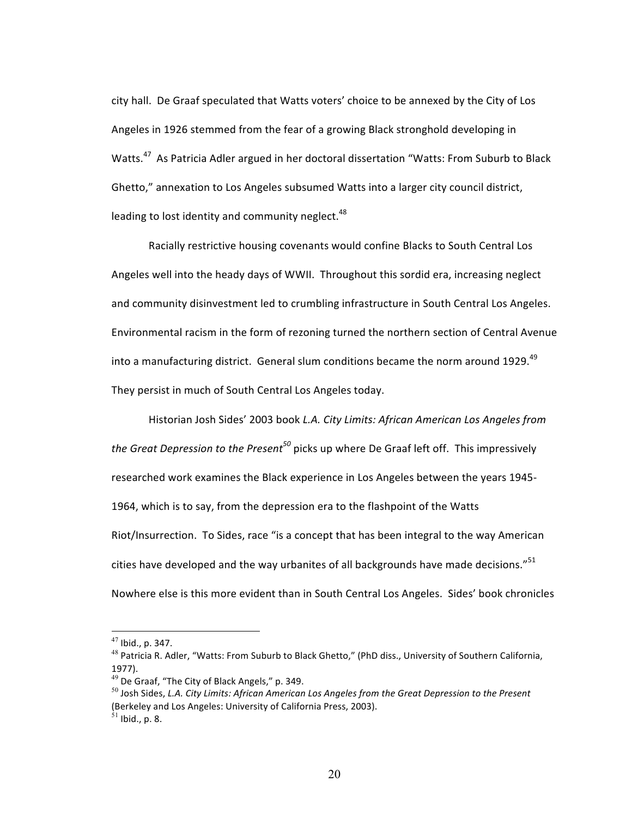city hall. De Graaf speculated that Watts voters' choice to be annexed by the City of Los Angeles in 1926 stemmed from the fear of a growing Black stronghold developing in Watts.<sup>47</sup> As Patricia Adler argued in her doctoral dissertation "Watts: From Suburb to Black Ghetto," annexation to Los Angeles subsumed Watts into a larger city council district, leading to lost identity and community neglect. $48$ 

Racially restrictive housing covenants would confine Blacks to South Central Los Angeles well into the heady days of WWII. Throughout this sordid era, increasing neglect and community disinvestment led to crumbling infrastructure in South Central Los Angeles. Environmental racism in the form of rezoning turned the northern section of Central Avenue into a manufacturing district. General slum conditions became the norm around 1929.<sup>49</sup> They persist in much of South Central Los Angeles today.

Historian Josh Sides' 2003 book *L.A. City Limits: African American Los Angeles from the Great Depression to the Present*<sup>50</sup> picks up where De Graaf left off. This impressively researched work examines the Black experience in Los Angeles between the years 1945-1964, which is to say, from the depression era to the flashpoint of the Watts Riot/Insurrection. To Sides, race "is a concept that has been integral to the way American cities have developed and the way urbanites of all backgrounds have made decisions." $51$ Nowhere else is this more evident than in South Central Los Angeles. Sides' book chronicles

 $47$  Ibid., p. 347.

 $^{48}$  Patricia R. Adler, "Watts: From Suburb to Black Ghetto," (PhD diss., University of Southern California, 1977).

 $49$  De Graaf, "The City of Black Angels," p. 349.

<sup>&</sup>lt;sup>50</sup> Josh Sides, L.A. City Limits: African American Los Angeles from the Great Depression to the Present (Berkeley and Los Angeles: University of California Press, 2003).  $51$  Ibid., p. 8.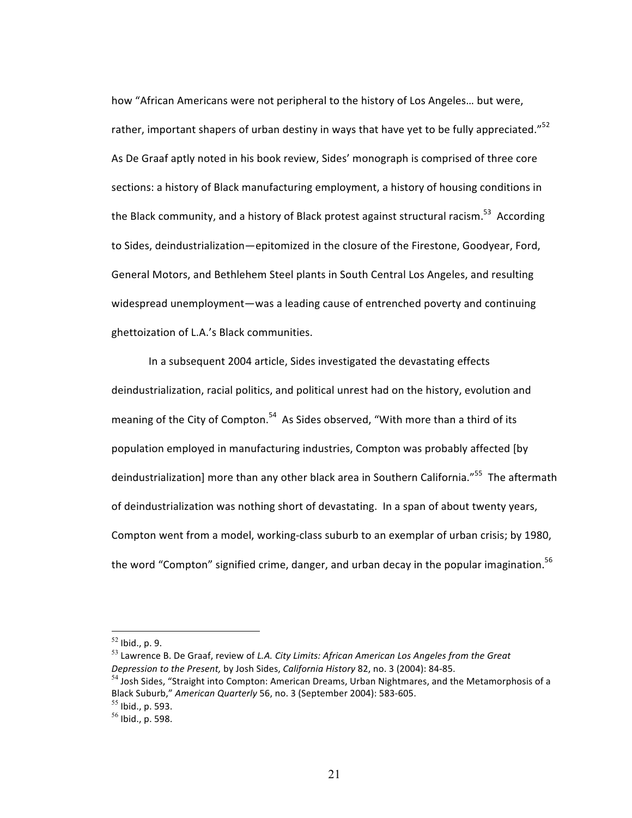how "African Americans were not peripheral to the history of Los Angeles... but were, rather, important shapers of urban destiny in ways that have yet to be fully appreciated."<sup>52</sup> As De Graaf aptly noted in his book review, Sides' monograph is comprised of three core sections: a history of Black manufacturing employment, a history of housing conditions in the Black community, and a history of Black protest against structural racism.<sup>53</sup> According to Sides, deindustrialization—epitomized in the closure of the Firestone, Goodyear, Ford, General Motors, and Bethlehem Steel plants in South Central Los Angeles, and resulting widespread unemployment—was a leading cause of entrenched poverty and continuing ghettoization of L.A.'s Black communities.

In a subsequent 2004 article, Sides investigated the devastating effects deindustrialization, racial politics, and political unrest had on the history, evolution and meaning of the City of Compton.<sup>54</sup> As Sides observed, "With more than a third of its population employed in manufacturing industries, Compton was probably affected [by deindustrialization] more than any other black area in Southern California."<sup>55</sup> The aftermath of deindustrialization was nothing short of devastating. In a span of about twenty years, Compton went from a model, working-class suburb to an exemplar of urban crisis; by 1980, the word "Compton" signified crime, danger, and urban decay in the popular imagination.<sup>56</sup>

<sup>53</sup> Lawrence B. De Graaf, review of *L.A. City Limits: African American Los Angeles from the Great Depression to the Present, by Josh Sides, California History* 82, no. 3 (2004): 84-85.

 $54$  Josh Sides, "Straight into Compton: American Dreams, Urban Nightmares, and the Metamorphosis of a Black Suburb," American Quarterly 56, no. 3 (September 2004): 583-605.

 $52$  Ibid., p. 9.

 $55$  Ibid., p. 593.

 $56$  Ibid., p. 598.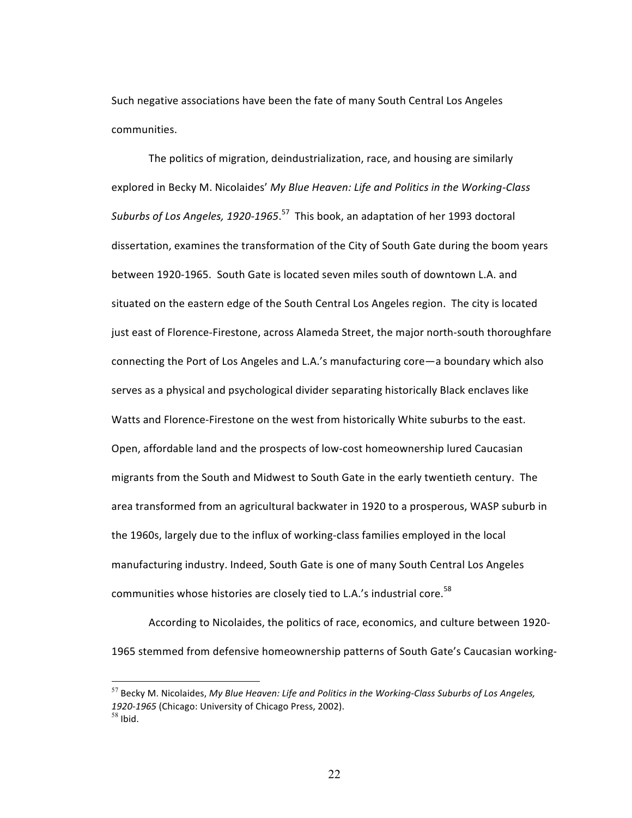Such negative associations have been the fate of many South Central Los Angeles communities.

The politics of migration, deindustrialization, race, and housing are similarly explored in Becky M. Nicolaides' My Blue Heaven: Life and Politics in the Working-Class Suburbs of Los Angeles, 1920-1965.<sup>57</sup> This book, an adaptation of her 1993 doctoral dissertation, examines the transformation of the City of South Gate during the boom years between 1920-1965. South Gate is located seven miles south of downtown L.A. and situated on the eastern edge of the South Central Los Angeles region. The city is located just east of Florence-Firestone, across Alameda Street, the major north-south thoroughfare connecting the Port of Los Angeles and L.A.'s manufacturing core—a boundary which also serves as a physical and psychological divider separating historically Black enclaves like Watts and Florence-Firestone on the west from historically White suburbs to the east. Open, affordable land and the prospects of low-cost homeownership lured Caucasian migrants from the South and Midwest to South Gate in the early twentieth century. The area transformed from an agricultural backwater in 1920 to a prosperous, WASP suburb in the 1960s, largely due to the influx of working-class families employed in the local manufacturing industry. Indeed, South Gate is one of many South Central Los Angeles communities whose histories are closely tied to L.A.'s industrial core.<sup>58</sup>

According to Nicolaides, the politics of race, economics, and culture between 1920-1965 stemmed from defensive homeownership patterns of South Gate's Caucasian working-

<sup>&</sup>lt;sup>57</sup> Becky M. Nicolaides, My Blue Heaven: Life and Politics in the Working-Class Suburbs of Los Angeles, *1920-1965* (Chicago: University of Chicago Press, 2002).  $58$  Ibid.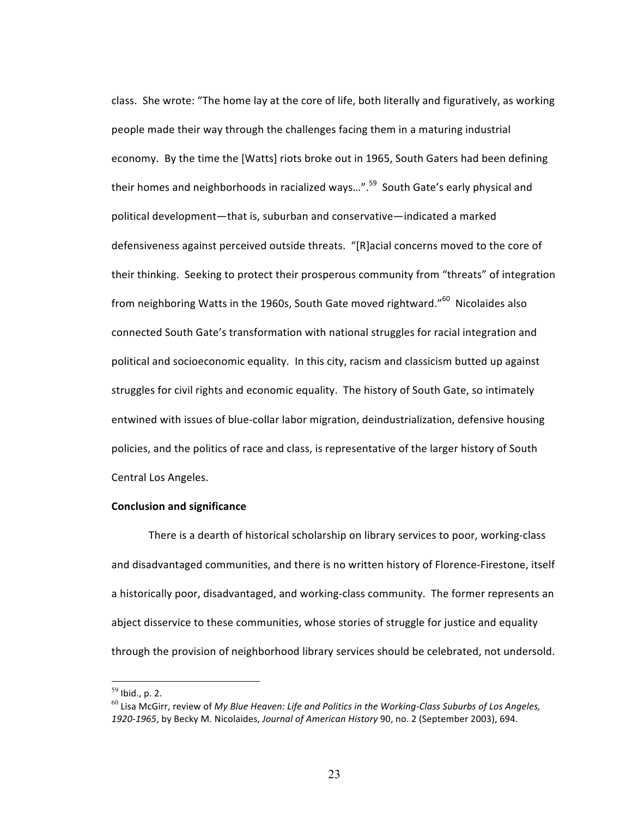class. She wrote: "The home lay at the core of life, both literally and figuratively, as working people made their way through the challenges facing them in a maturing industrial economy. By the time the [Watts] riots broke out in 1965, South Gaters had been defining their homes and neighborhoods in racialized ways...".<sup>59</sup> South Gate's early physical and political development—that is, suburban and conservative—indicated a marked defensiveness against perceived outside threats. "[R]acial concerns moved to the core of their thinking. Seeking to protect their prosperous community from "threats" of integration from neighboring Watts in the 1960s, South Gate moved rightward."<sup>60</sup> Nicolaides also connected South Gate's transformation with national struggles for racial integration and political and socioeconomic equality. In this city, racism and classicism butted up against struggles for civil rights and economic equality. The history of South Gate, so intimately entwined with issues of blue-collar labor migration, deindustrialization, defensive housing policies, and the politics of race and class, is representative of the larger history of South Central Los Angeles.

### **Conclusion and significance**

There is a dearth of historical scholarship on library services to poor, working-class and disadvantaged communities, and there is no written history of Florence-Firestone, itself a historically poor, disadvantaged, and working-class community. The former represents an abject disservice to these communities, whose stories of struggle for justice and equality through the provision of neighborhood library services should be celebrated, not undersold.

 $59$  Ibid., p. 2.

 $^{60}$  Lisa McGirr, review of My Blue Heaven: Life and Politics in the Working-Class Suburbs of Los Angeles, 1920-1965, by Becky M. Nicolaides, *Journal of American History* 90, no. 2 (September 2003), 694.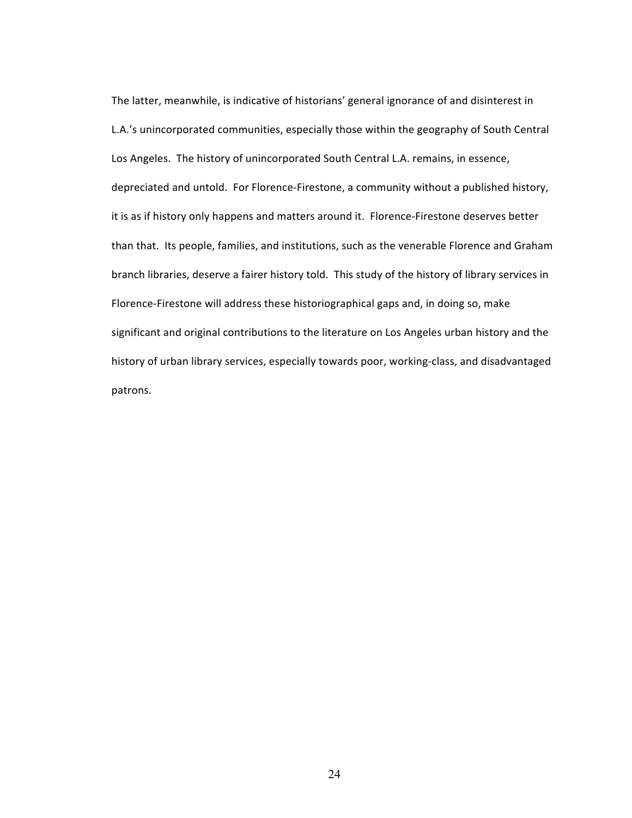The latter, meanwhile, is indicative of historians' general ignorance of and disinterest in L.A.'s unincorporated communities, especially those within the geography of South Central Los Angeles. The history of unincorporated South Central L.A. remains, in essence, depreciated and untold. For Florence-Firestone, a community without a published history, it is as if history only happens and matters around it. Florence-Firestone deserves better than that. Its people, families, and institutions, such as the venerable Florence and Graham branch libraries, deserve a fairer history told. This study of the history of library services in Florence-Firestone will address these historiographical gaps and, in doing so, make significant and original contributions to the literature on Los Angeles urban history and the history of urban library services, especially towards poor, working-class, and disadvantaged patrons.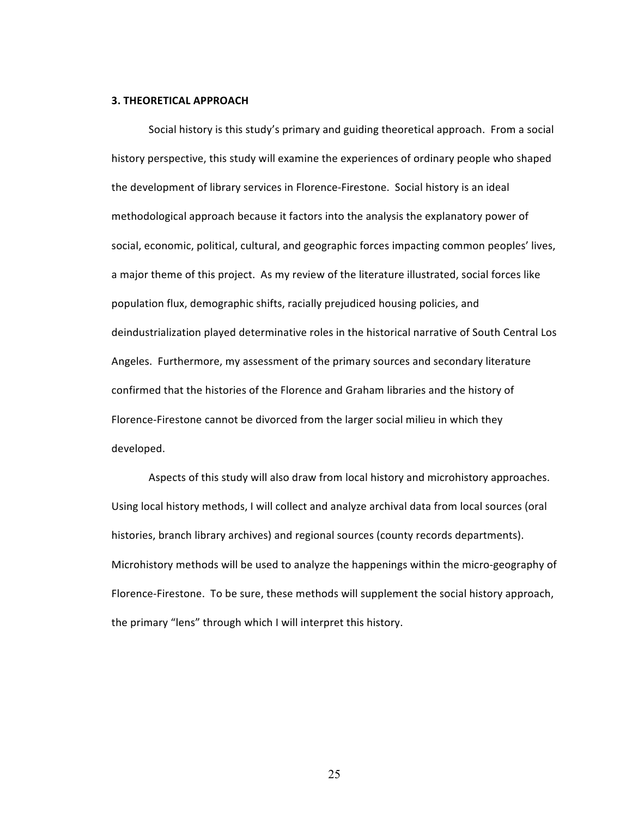#### **3. THEORETICAL APPROACH**

Social history is this study's primary and guiding theoretical approach. From a social history perspective, this study will examine the experiences of ordinary people who shaped the development of library services in Florence-Firestone. Social history is an ideal methodological approach because it factors into the analysis the explanatory power of social, economic, political, cultural, and geographic forces impacting common peoples' lives, a major theme of this project. As my review of the literature illustrated, social forces like population flux, demographic shifts, racially prejudiced housing policies, and deindustrialization played determinative roles in the historical narrative of South Central Los Angeles. Furthermore, my assessment of the primary sources and secondary literature confirmed that the histories of the Florence and Graham libraries and the history of Florence-Firestone cannot be divorced from the larger social milieu in which they developed.

Aspects of this study will also draw from local history and microhistory approaches. Using local history methods, I will collect and analyze archival data from local sources (oral histories, branch library archives) and regional sources (county records departments). Microhistory methods will be used to analyze the happenings within the micro-geography of Florence-Firestone. To be sure, these methods will supplement the social history approach, the primary "lens" through which I will interpret this history.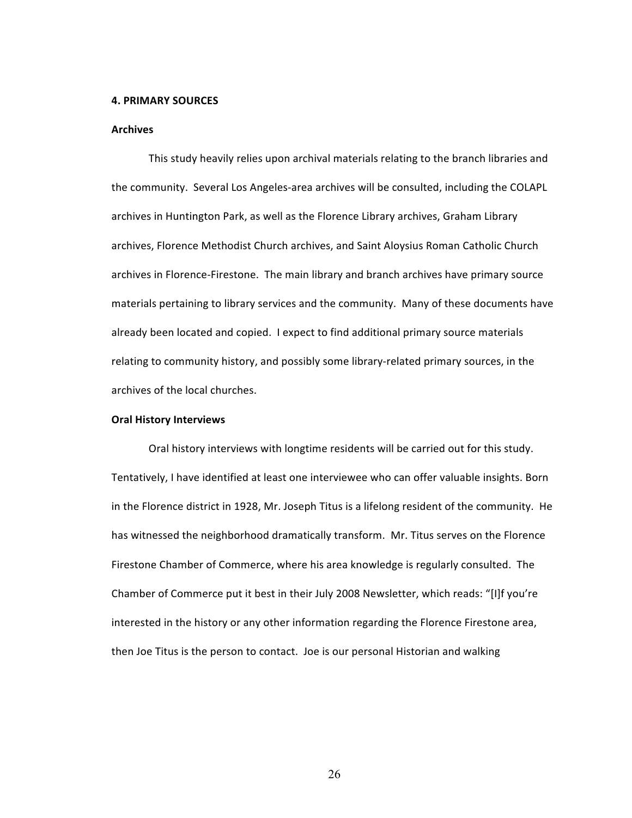#### **4. PRIMARY SOURCES**

### **Archives**

This study heavily relies upon archival materials relating to the branch libraries and the community. Several Los Angeles-area archives will be consulted, including the COLAPL archives in Huntington Park, as well as the Florence Library archives, Graham Library archives, Florence Methodist Church archives, and Saint Aloysius Roman Catholic Church archives in Florence-Firestone. The main library and branch archives have primary source materials pertaining to library services and the community. Many of these documents have already been located and copied. I expect to find additional primary source materials relating to community history, and possibly some library-related primary sources, in the archives of the local churches.

#### **Oral History Interviews**

Oral history interviews with longtime residents will be carried out for this study. Tentatively, I have identified at least one interviewee who can offer valuable insights. Born in the Florence district in 1928, Mr. Joseph Titus is a lifelong resident of the community. He has witnessed the neighborhood dramatically transform. Mr. Titus serves on the Florence Firestone Chamber of Commerce, where his area knowledge is regularly consulted. The Chamber of Commerce put it best in their July 2008 Newsletter, which reads: "[I]f you're interested in the history or any other information regarding the Florence Firestone area, then Joe Titus is the person to contact. Joe is our personal Historian and walking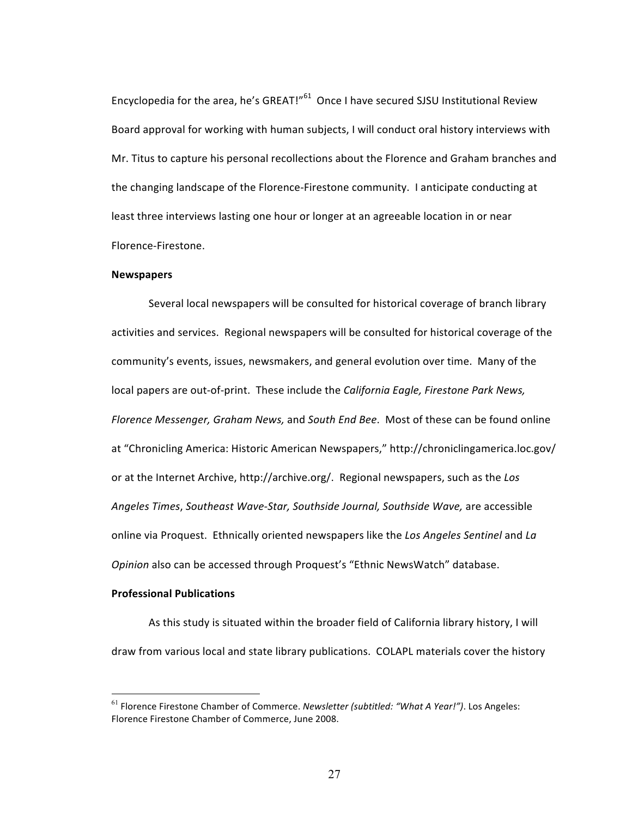Encyclopedia for the area, he's GREAT!"<sup>61</sup> Once I have secured SJSU Institutional Review Board approval for working with human subjects, I will conduct oral history interviews with Mr. Titus to capture his personal recollections about the Florence and Graham branches and the changing landscape of the Florence-Firestone community. I anticipate conducting at least three interviews lasting one hour or longer at an agreeable location in or near Florence-Firestone. 

### **Newspapers**

Several local newspapers will be consulted for historical coverage of branch library activities and services. Regional newspapers will be consulted for historical coverage of the community's events, issues, newsmakers, and general evolution over time. Many of the local papers are out-of-print. These include the *California Eagle, Firestone Park News,* Florence Messenger, Graham News, and South End Bee. Most of these can be found online at "Chronicling America: Historic American Newspapers," http://chroniclingamerica.loc.gov/ or at the Internet Archive, http://archive.org/. Regional newspapers, such as the Los *Angeles Times*, *Southeast Wave-Star, Southside Journal, Southside Wave,* are accessible online via Proquest. Ethnically oriented newspapers like the *Los Angeles Sentinel* and *La Opinion* also can be accessed through Proquest's "Ethnic NewsWatch" database.

## **Professional Publications**

As this study is situated within the broader field of California library history, I will draw from various local and state library publications. COLAPL materials cover the history

<sup>&</sup>lt;sup>61</sup> Florence Firestone Chamber of Commerce. *Newsletter (subtitled:* "What A Year!"). Los Angeles: Florence Firestone Chamber of Commerce, June 2008.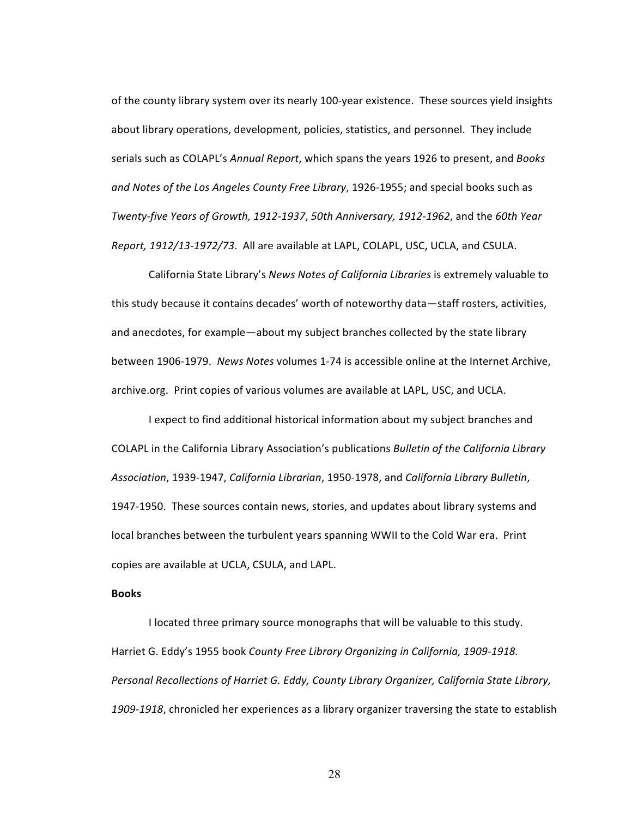of the county library system over its nearly 100-year existence. These sources yield insights about library operations, development, policies, statistics, and personnel. They include serials such as COLAPL's *Annual Report*, which spans the years 1926 to present, and *Books* and Notes of the Los Angeles County Free Library, 1926-1955; and special books such as *Twenty-five Years of Growth, 1912-1937*, *50th Anniversary, 1912-1962*, and the *60th Year Report, 1912/13-1972/73*. All are available at LAPL, COLAPL, USC, UCLA, and CSULA.

California State Library's *News Notes of California Libraries* is extremely valuable to this study because it contains decades' worth of noteworthy data—staff rosters, activities, and anecdotes, for example—about my subject branches collected by the state library between 1906-1979. News Notes volumes 1-74 is accessible online at the Internet Archive, archive.org. Print copies of various volumes are available at LAPL, USC, and UCLA.

I expect to find additional historical information about my subject branches and COLAPL in the California Library Association's publications *Bulletin of the California Library Association*, 1939-1947, *California Librarian*, 1950-1978, and *California Library Bulletin*, 1947-1950. These sources contain news, stories, and updates about library systems and local branches between the turbulent years spanning WWII to the Cold War era. Print copies are available at UCLA, CSULA, and LAPL.

## **Books**

I located three primary source monographs that will be valuable to this study. Harriet G. Eddy's 1955 book *County Free Library Organizing in California, 1909-1918.* Personal Recollections of Harriet G. Eddy, County Library Organizer, California State Library, 1909-1918, chronicled her experiences as a library organizer traversing the state to establish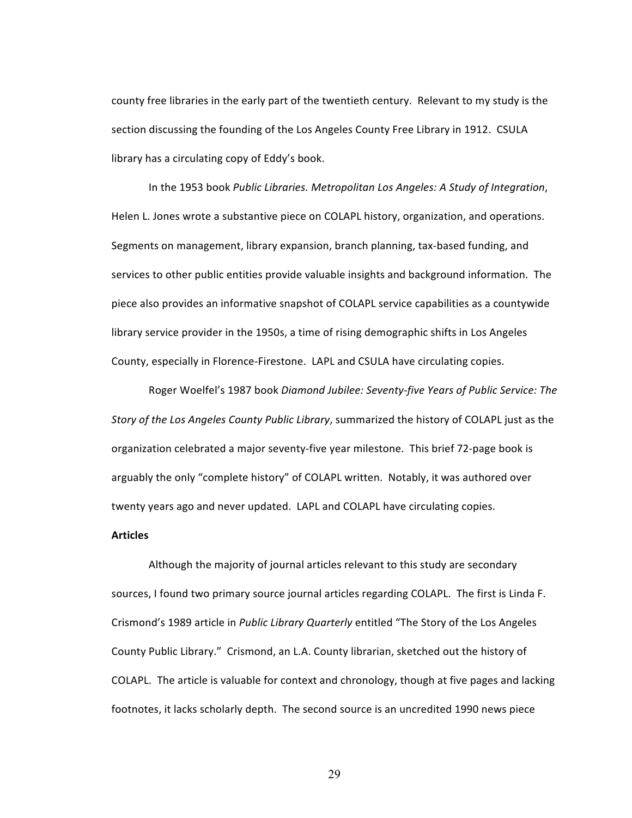county free libraries in the early part of the twentieth century. Relevant to my study is the section discussing the founding of the Los Angeles County Free Library in 1912. CSULA library has a circulating copy of Eddy's book.

In the 1953 book Public Libraries. Metropolitan Los Angeles: A Study of Integration, Helen L. Jones wrote a substantive piece on COLAPL history, organization, and operations. Segments on management, library expansion, branch planning, tax-based funding, and services to other public entities provide valuable insights and background information. The piece also provides an informative snapshot of COLAPL service capabilities as a countywide library service provider in the 1950s, a time of rising demographic shifts in Los Angeles County, especially in Florence-Firestone. LAPL and CSULA have circulating copies.

Roger Woelfel's 1987 book Diamond Jubilee: Seventy-five Years of Public Service: The *Story of the Los Angeles County Public Library*, summarized the history of COLAPL just as the organization celebrated a major seventy-five year milestone. This brief 72-page book is arguably the only "complete history" of COLAPL written. Notably, it was authored over twenty years ago and never updated. LAPL and COLAPL have circulating copies.

## **Articles**

Although the majority of journal articles relevant to this study are secondary sources, I found two primary source journal articles regarding COLAPL. The first is Linda F. Crismond's 1989 article in *Public Library Quarterly* entitled "The Story of the Los Angeles County Public Library." Crismond, an L.A. County librarian, sketched out the history of COLAPL. The article is valuable for context and chronology, though at five pages and lacking footnotes, it lacks scholarly depth. The second source is an uncredited 1990 news piece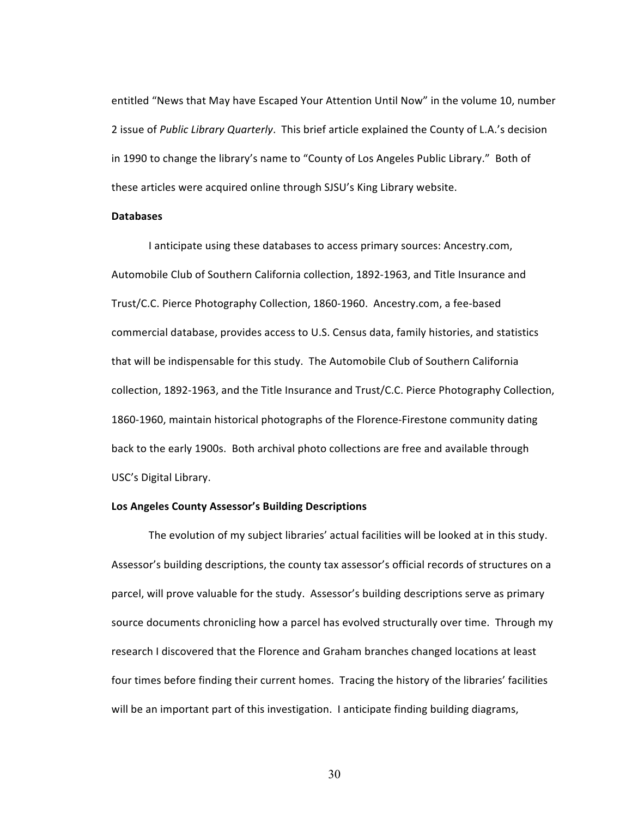entitled "News that May have Escaped Your Attention Until Now" in the volume 10, number 2 issue of Public Library Quarterly. This brief article explained the County of L.A.'s decision in 1990 to change the library's name to "County of Los Angeles Public Library." Both of these articles were acquired online through SJSU's King Library website.

#### **Databases**

I anticipate using these databases to access primary sources: Ancestry.com, Automobile Club of Southern California collection, 1892-1963, and Title Insurance and Trust/C.C. Pierce Photography Collection, 1860-1960. Ancestry.com, a fee-based commercial database, provides access to U.S. Census data, family histories, and statistics that will be indispensable for this study. The Automobile Club of Southern California collection, 1892-1963, and the Title Insurance and Trust/C.C. Pierce Photography Collection, 1860-1960, maintain historical photographs of the Florence-Firestone community dating back to the early 1900s. Both archival photo collections are free and available through USC's Digital Library.

### Los Angeles County Assessor's Building Descriptions

The evolution of my subject libraries' actual facilities will be looked at in this study. Assessor's building descriptions, the county tax assessor's official records of structures on a parcel, will prove valuable for the study. Assessor's building descriptions serve as primary source documents chronicling how a parcel has evolved structurally over time. Through my research I discovered that the Florence and Graham branches changed locations at least four times before finding their current homes. Tracing the history of the libraries' facilities will be an important part of this investigation. I anticipate finding building diagrams,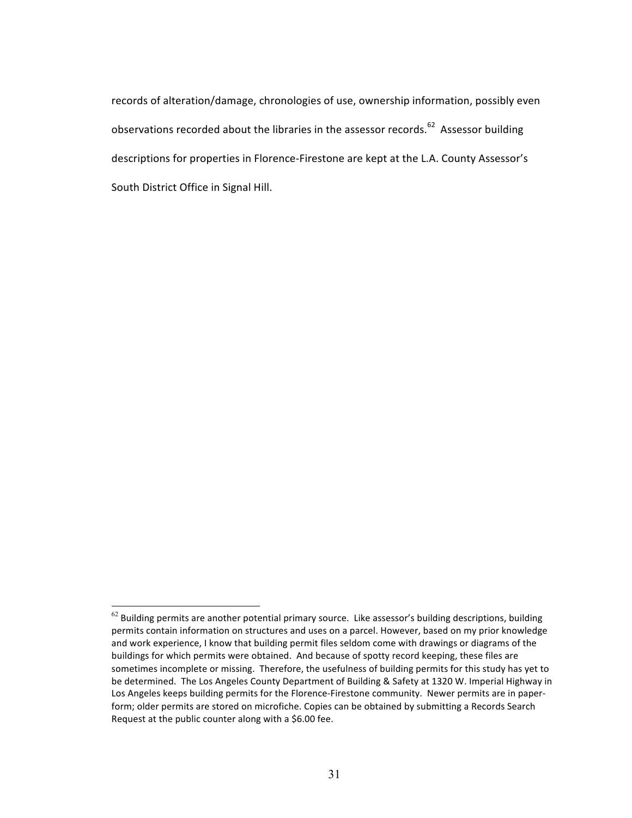records of alteration/damage, chronologies of use, ownership information, possibly even observations recorded about the libraries in the assessor records.<sup>62</sup> Assessor building descriptions for properties in Florence-Firestone are kept at the L.A. County Assessor's South District Office in Signal Hill.

 $62$  Building permits are another potential primary source. Like assessor's building descriptions, building permits contain information on structures and uses on a parcel. However, based on my prior knowledge and work experience, I know that building permit files seldom come with drawings or diagrams of the buildings for which permits were obtained. And because of spotty record keeping, these files are sometimes incomplete or missing. Therefore, the usefulness of building permits for this study has yet to be determined. The Los Angeles County Department of Building & Safety at 1320 W. Imperial Highway in Los Angeles keeps building permits for the Florence-Firestone community. Newer permits are in paperform; older permits are stored on microfiche. Copies can be obtained by submitting a Records Search Request at the public counter along with a \$6.00 fee.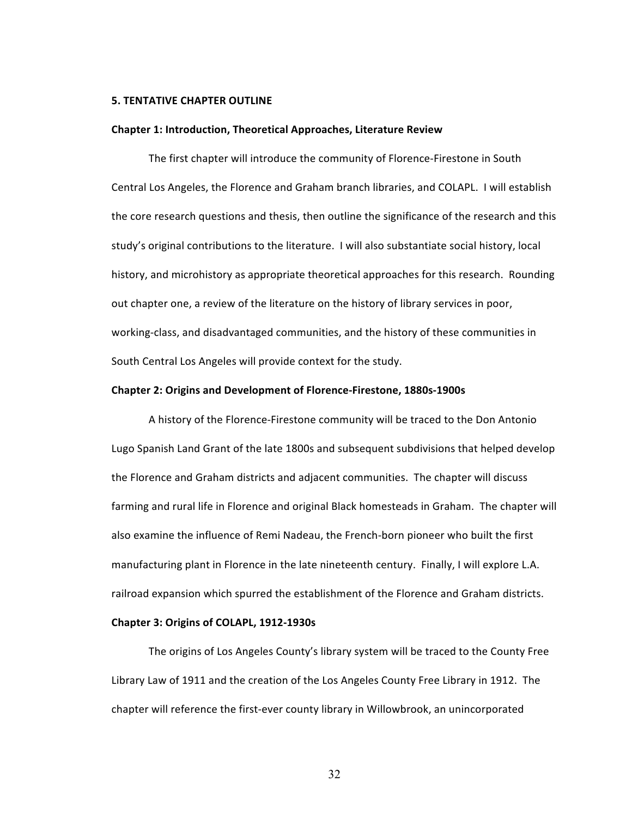#### **5. TENTATIVE CHAPTER OUTLINE**

#### **Chapter 1: Introduction, Theoretical Approaches, Literature Review**

The first chapter will introduce the community of Florence-Firestone in South Central Los Angeles, the Florence and Graham branch libraries, and COLAPL. I will establish the core research questions and thesis, then outline the significance of the research and this study's original contributions to the literature. I will also substantiate social history, local history, and microhistory as appropriate theoretical approaches for this research. Rounding out chapter one, a review of the literature on the history of library services in poor, working-class, and disadvantaged communities, and the history of these communities in South Central Los Angeles will provide context for the study.

#### **Chapter 2: Origins and Development of Florence-Firestone, 1880s-1900s**

A history of the Florence-Firestone community will be traced to the Don Antonio Lugo Spanish Land Grant of the late 1800s and subsequent subdivisions that helped develop the Florence and Graham districts and adjacent communities. The chapter will discuss farming and rural life in Florence and original Black homesteads in Graham. The chapter will also examine the influence of Remi Nadeau, the French-born pioneer who built the first manufacturing plant in Florence in the late nineteenth century. Finally, I will explore L.A. railroad expansion which spurred the establishment of the Florence and Graham districts.

#### **Chapter 3: Origins of COLAPL, 1912-1930s**

The origins of Los Angeles County's library system will be traced to the County Free Library Law of 1911 and the creation of the Los Angeles County Free Library in 1912. The chapter will reference the first-ever county library in Willowbrook, an unincorporated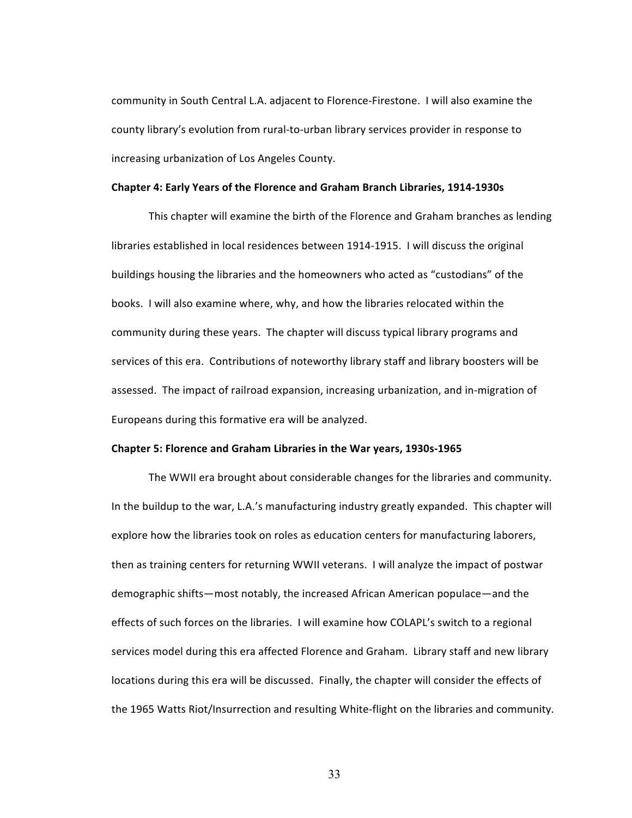community in South Central L.A. adjacent to Florence-Firestone. I will also examine the county library's evolution from rural-to-urban library services provider in response to increasing urbanization of Los Angeles County.

#### **Chapter 4: Early Years of the Florence and Graham Branch Libraries, 1914-1930s**

This chapter will examine the birth of the Florence and Graham branches as lending libraries established in local residences between 1914-1915. I will discuss the original buildings housing the libraries and the homeowners who acted as "custodians" of the books. I will also examine where, why, and how the libraries relocated within the community during these years. The chapter will discuss typical library programs and services of this era. Contributions of noteworthy library staff and library boosters will be assessed. The impact of railroad expansion, increasing urbanization, and in-migration of Europeans during this formative era will be analyzed.

## Chapter 5: Florence and Graham Libraries in the War years, 1930s-1965

The WWII era brought about considerable changes for the libraries and community. In the buildup to the war, L.A.'s manufacturing industry greatly expanded. This chapter will explore how the libraries took on roles as education centers for manufacturing laborers, then as training centers for returning WWII veterans. I will analyze the impact of postwar demographic shifts—most notably, the increased African American populace—and the effects of such forces on the libraries. I will examine how COLAPL's switch to a regional services model during this era affected Florence and Graham. Library staff and new library locations during this era will be discussed. Finally, the chapter will consider the effects of the 1965 Watts Riot/Insurrection and resulting White-flight on the libraries and community.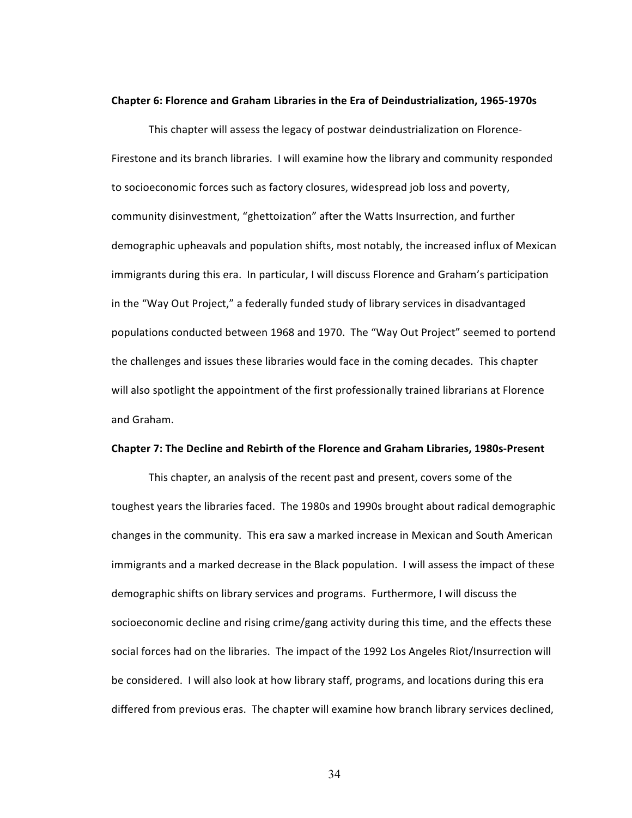#### Chapter 6: Florence and Graham Libraries in the Era of Deindustrialization, 1965-1970s

This chapter will assess the legacy of postwar deindustrialization on Florence-Firestone and its branch libraries. I will examine how the library and community responded to socioeconomic forces such as factory closures, widespread job loss and poverty, community disinvestment, "ghettoization" after the Watts Insurrection, and further demographic upheavals and population shifts, most notably, the increased influx of Mexican immigrants during this era. In particular, I will discuss Florence and Graham's participation in the "Way Out Project," a federally funded study of library services in disadvantaged populations conducted between 1968 and 1970. The "Way Out Project" seemed to portend the challenges and issues these libraries would face in the coming decades. This chapter will also spotlight the appointment of the first professionally trained librarians at Florence and Graham. 

### Chapter 7: The Decline and Rebirth of the Florence and Graham Libraries, 1980s-Present

This chapter, an analysis of the recent past and present, covers some of the toughest years the libraries faced. The 1980s and 1990s brought about radical demographic changes in the community. This era saw a marked increase in Mexican and South American immigrants and a marked decrease in the Black population. I will assess the impact of these demographic shifts on library services and programs. Furthermore, I will discuss the socioeconomic decline and rising crime/gang activity during this time, and the effects these social forces had on the libraries. The impact of the 1992 Los Angeles Riot/Insurrection will be considered. I will also look at how library staff, programs, and locations during this era differed from previous eras. The chapter will examine how branch library services declined,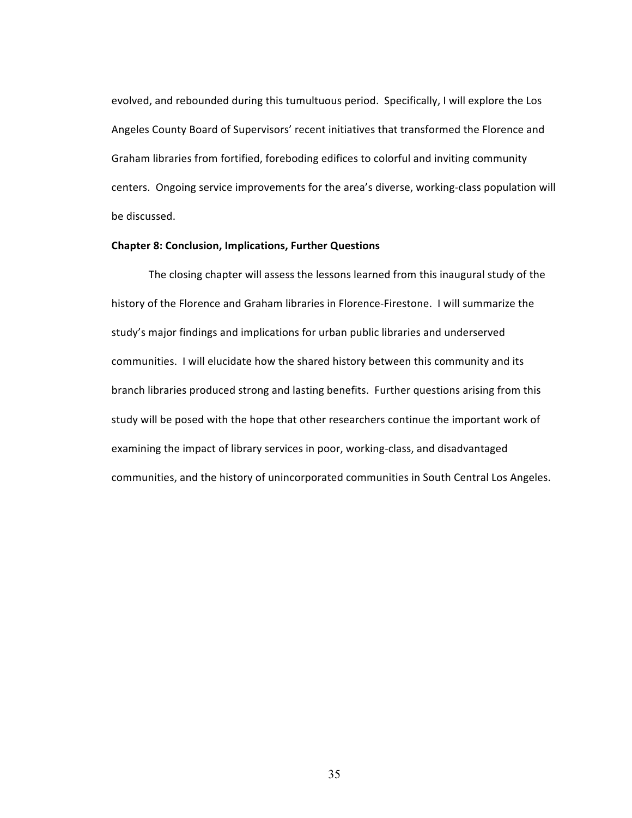evolved, and rebounded during this tumultuous period. Specifically, I will explore the Los Angeles County Board of Supervisors' recent initiatives that transformed the Florence and Graham libraries from fortified, foreboding edifices to colorful and inviting community centers. Ongoing service improvements for the area's diverse, working-class population will be discussed.

## **Chapter 8: Conclusion, Implications, Further Questions**

The closing chapter will assess the lessons learned from this inaugural study of the history of the Florence and Graham libraries in Florence-Firestone. I will summarize the study's major findings and implications for urban public libraries and underserved communities. I will elucidate how the shared history between this community and its branch libraries produced strong and lasting benefits. Further questions arising from this study will be posed with the hope that other researchers continue the important work of examining the impact of library services in poor, working-class, and disadvantaged communities, and the history of unincorporated communities in South Central Los Angeles.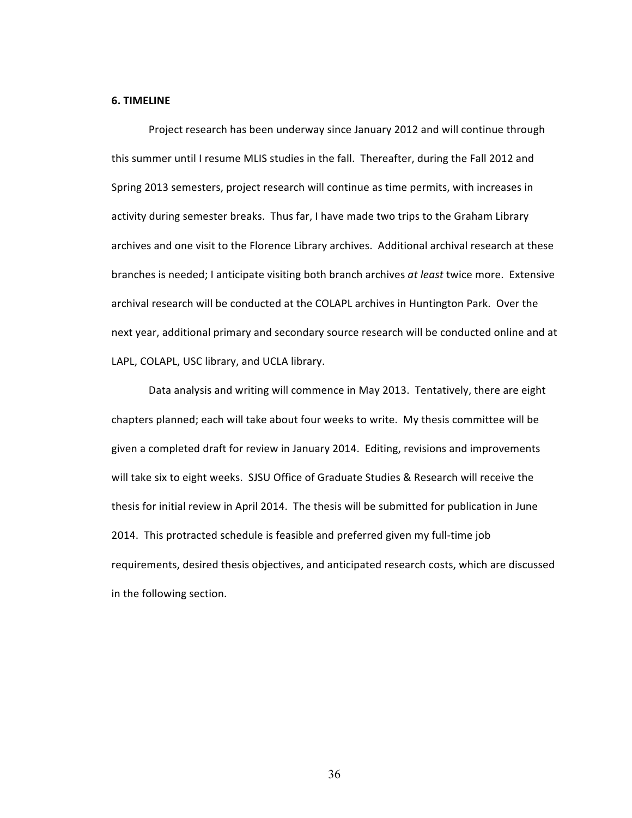#### **6. TIMELINE**

Project research has been underway since January 2012 and will continue through this summer until I resume MLIS studies in the fall. Thereafter, during the Fall 2012 and Spring 2013 semesters, project research will continue as time permits, with increases in activity during semester breaks. Thus far, I have made two trips to the Graham Library archives and one visit to the Florence Library archives. Additional archival research at these branches is needed; I anticipate visiting both branch archives at least twice more. Extensive archival research will be conducted at the COLAPL archives in Huntington Park. Over the next year, additional primary and secondary source research will be conducted online and at LAPL, COLAPL, USC library, and UCLA library.

Data analysis and writing will commence in May 2013. Tentatively, there are eight chapters planned; each will take about four weeks to write. My thesis committee will be given a completed draft for review in January 2014. Editing, revisions and improvements will take six to eight weeks. SJSU Office of Graduate Studies & Research will receive the thesis for initial review in April 2014. The thesis will be submitted for publication in June 2014. This protracted schedule is feasible and preferred given my full-time job requirements, desired thesis objectives, and anticipated research costs, which are discussed in the following section.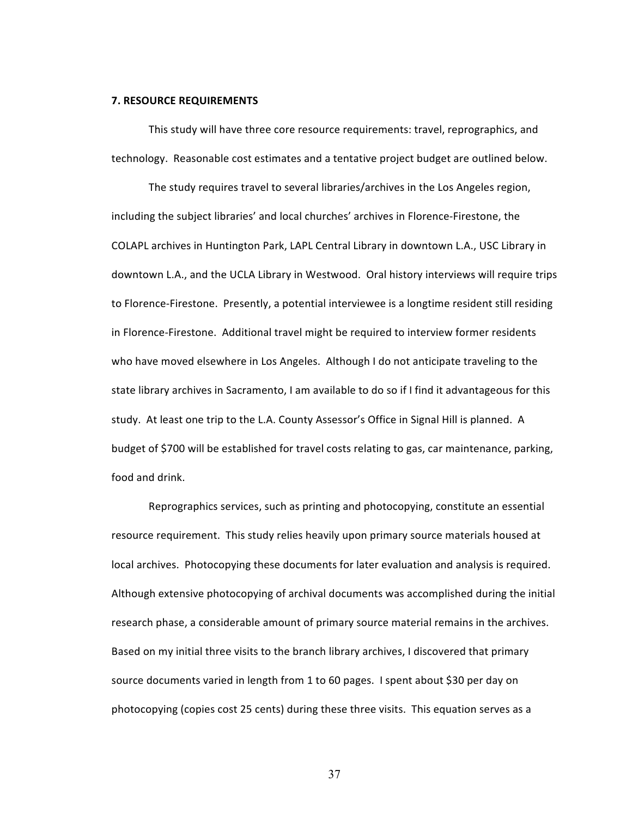#### **7. RESOURCE REQUIREMENTS**

This study will have three core resource requirements: travel, reprographics, and technology. Reasonable cost estimates and a tentative project budget are outlined below.

The study requires travel to several libraries/archives in the Los Angeles region, including the subject libraries' and local churches' archives in Florence-Firestone, the COLAPL archives in Huntington Park, LAPL Central Library in downtown L.A., USC Library in downtown L.A., and the UCLA Library in Westwood. Oral history interviews will require trips to Florence-Firestone. Presently, a potential interviewee is a longtime resident still residing in Florence-Firestone. Additional travel might be required to interview former residents who have moved elsewhere in Los Angeles. Although I do not anticipate traveling to the state library archives in Sacramento, I am available to do so if I find it advantageous for this study. At least one trip to the L.A. County Assessor's Office in Signal Hill is planned. A budget of \$700 will be established for travel costs relating to gas, car maintenance, parking, food and drink.

Reprographics services, such as printing and photocopying, constitute an essential resource requirement. This study relies heavily upon primary source materials housed at local archives. Photocopying these documents for later evaluation and analysis is required. Although extensive photocopying of archival documents was accomplished during the initial research phase, a considerable amount of primary source material remains in the archives. Based on my initial three visits to the branch library archives, I discovered that primary source documents varied in length from 1 to 60 pages. I spent about \$30 per day on photocopying (copies cost 25 cents) during these three visits. This equation serves as a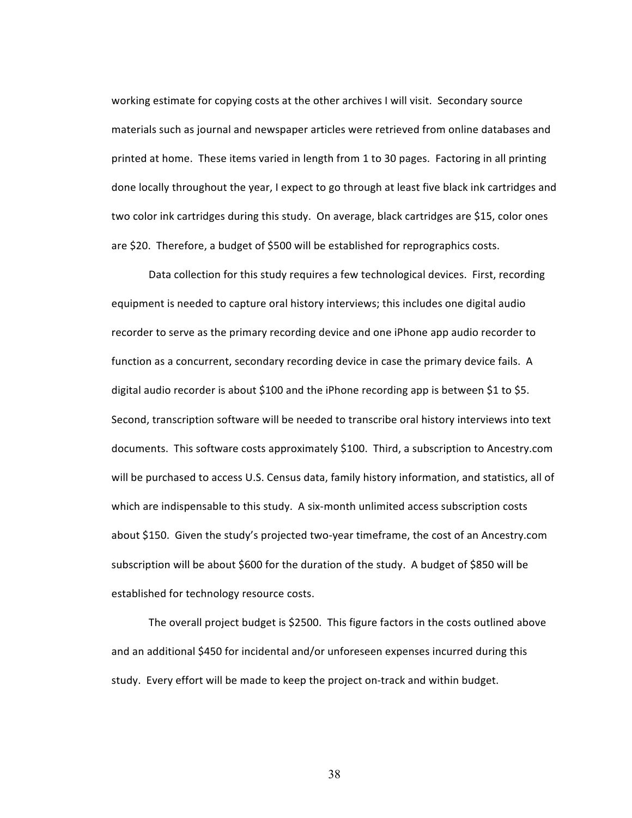working estimate for copying costs at the other archives I will visit. Secondary source materials such as journal and newspaper articles were retrieved from online databases and printed at home. These items varied in length from 1 to 30 pages. Factoring in all printing done locally throughout the year, I expect to go through at least five black ink cartridges and two color ink cartridges during this study. On average, black cartridges are \$15, color ones are \$20. Therefore, a budget of \$500 will be established for reprographics costs.

Data collection for this study requires a few technological devices. First, recording equipment is needed to capture oral history interviews; this includes one digital audio recorder to serve as the primary recording device and one iPhone app audio recorder to function as a concurrent, secondary recording device in case the primary device fails. A digital audio recorder is about \$100 and the iPhone recording app is between \$1 to \$5. Second, transcription software will be needed to transcribe oral history interviews into text documents. This software costs approximately \$100. Third, a subscription to Ancestry.com will be purchased to access U.S. Census data, family history information, and statistics, all of which are indispensable to this study. A six-month unlimited access subscription costs about \$150. Given the study's projected two-year timeframe, the cost of an Ancestry.com subscription will be about \$600 for the duration of the study. A budget of \$850 will be established for technology resource costs.

The overall project budget is \$2500. This figure factors in the costs outlined above and an additional \$450 for incidental and/or unforeseen expenses incurred during this study. Every effort will be made to keep the project on-track and within budget.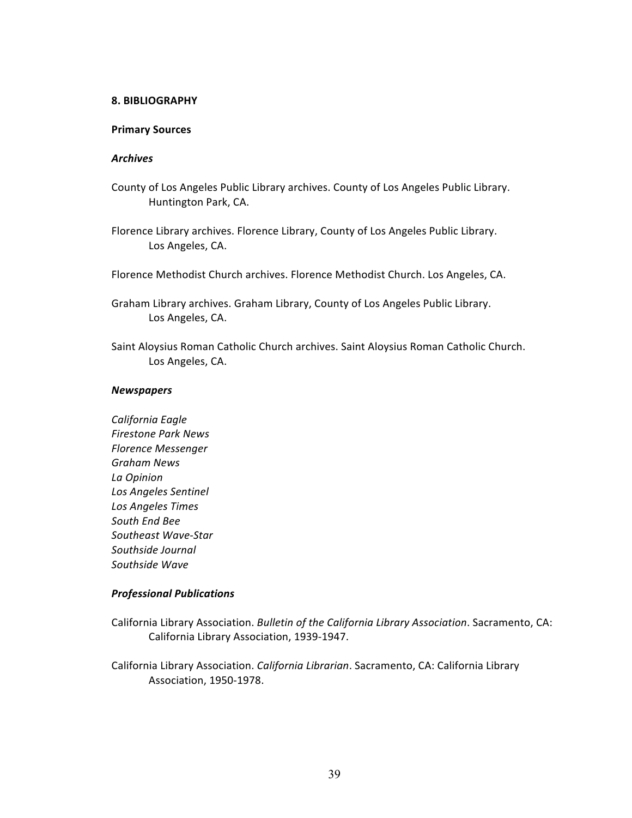### **8. BIBLIOGRAPHY**

### **Primary Sources**

#### *Archives*

- County of Los Angeles Public Library archives. County of Los Angeles Public Library. Huntington Park, CA.
- Florence Library archives. Florence Library, County of Los Angeles Public Library. Los Angeles, CA.
- Florence Methodist Church archives. Florence Methodist Church. Los Angeles, CA.

Graham Library archives. Graham Library, County of Los Angeles Public Library. Los Angeles, CA.

Saint Aloysius Roman Catholic Church archives. Saint Aloysius Roman Catholic Church. Los Angeles, CA.

### *Newspapers*

*California Eagle Firestone Park News Florence Messenger Graham News La Opinion Los Angeles Sentinel Los Angeles Times South End Bee Southeast Wave-Star Southside Journal Southside Wave*

## *Professional Publications*

- California Library Association. *Bulletin of the California Library Association*. Sacramento, CA: California Library Association, 1939-1947.
- California Library Association. *California Librarian*. Sacramento, CA: California Library Association, 1950-1978.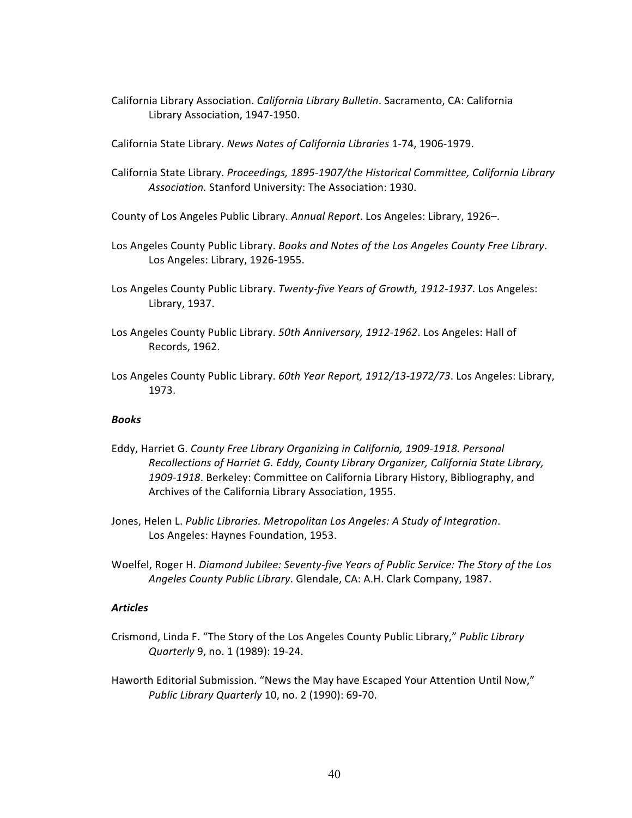- California Library Association. *California Library Bulletin*. Sacramento, CA: California Library Association, 1947-1950.
- California State Library. *News Notes of California Libraries* 1-74, 1906-1979.
- California State Library. *Proceedings, 1895-1907/the Historical Committee, California Library* Association. Stanford University: The Association: 1930.
- County of Los Angeles Public Library. Annual Report. Los Angeles: Library, 1926-.
- Los Angeles County Public Library. *Books and Notes of the Los Angeles County Free Library*. Los Angeles: Library, 1926-1955.
- Los Angeles County Public Library. Twenty-five Years of Growth, 1912-1937. Los Angeles: Library, 1937.
- Los Angeles County Public Library. 50th Anniversary, 1912-1962. Los Angeles: Hall of Records, 1962.
- Los Angeles County Public Library. 60th Year Report, 1912/13-1972/73. Los Angeles: Library, 1973.

### *Books*

- Eddy, Harriet G. County Free Library Organizing in California, 1909-1918. Personal Recollections of Harriet G. Eddy, County Library Organizer, California State Library, 1909-1918. Berkeley: Committee on California Library History, Bibliography, and Archives of the California Library Association, 1955.
- Jones, Helen L. Public Libraries. Metropolitan Los Angeles: A Study of Integration. Los Angeles: Haynes Foundation, 1953.
- Woelfel, Roger H. *Diamond Jubilee: Seventy-five Years of Public Service: The Story of the Los* Angeles County Public Library. Glendale, CA: A.H. Clark Company, 1987.

## *Articles*

- Crismond, Linda F. "The Story of the Los Angeles County Public Library," Public Library *Quarterly* 9, no. 1 (1989): 19-24.
- Haworth Editorial Submission. "News the May have Escaped Your Attention Until Now," *Public Library Quarterly* 10, no. 2 (1990): 69-70.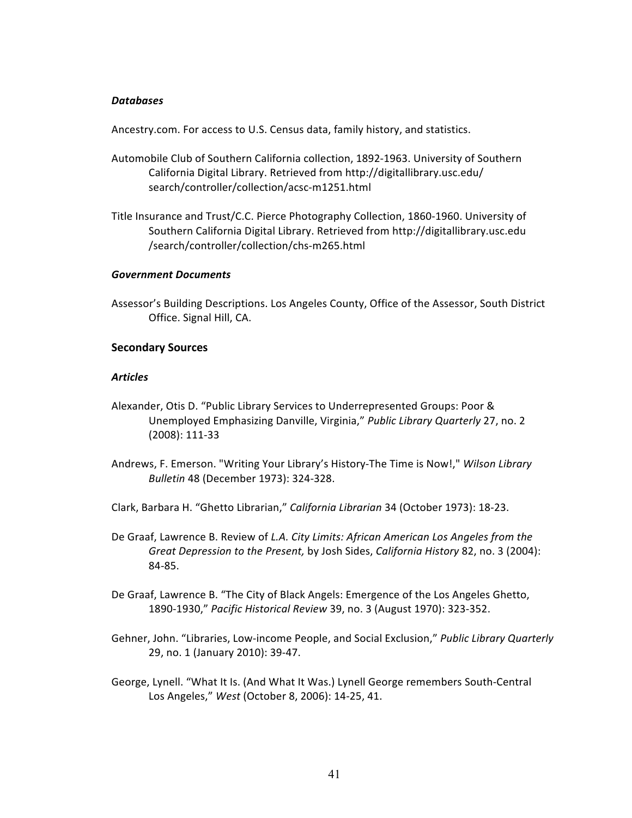## *Databases*

Ancestry.com. For access to U.S. Census data, family history, and statistics.

- Automobile Club of Southern California collection, 1892-1963. University of Southern California Digital Library. Retrieved from http://digitallibrary.usc.edu/ search/controller/collection/acsc-m1251.html
- Title Insurance and Trust/C.C. Pierce Photography Collection, 1860-1960. University of Southern California Digital Library. Retrieved from http://digitallibrary.usc.edu /search/controller/collection/chs-m265.html

## *Government Documents*

Assessor's Building Descriptions. Los Angeles County, Office of the Assessor, South District Office. Signal Hill, CA.

## **Secondary Sources**

## *Articles*

- Alexander, Otis D. "Public Library Services to Underrepresented Groups: Poor & Unemployed Emphasizing Danville, Virginia," Public Library Quarterly 27, no. 2 (2008): 111-33
- Andrews, F. Emerson. "Writing Your Library's History-The Time is Now!," Wilson Library *Bulletin* 48 (December 1973): 324-328.
- Clark, Barbara H. "Ghetto Librarian," California Librarian 34 (October 1973): 18-23.
- De Graaf, Lawrence B. Review of *L.A. City Limits: African American Los Angeles from the Great Depression to the Present, by Josh Sides, California History* 82, no. 3 (2004): 84-85.
- De Graaf, Lawrence B. "The City of Black Angels: Emergence of the Los Angeles Ghetto, 1890-1930," Pacific Historical Review 39, no. 3 (August 1970): 323-352.
- Gehner, John. "Libraries, Low-income People, and Social Exclusion," Public Library Quarterly 29, no. 1 (January 2010): 39-47.
- George, Lynell. "What It Is. (And What It Was.) Lynell George remembers South-Central Los Angeles," West (October 8, 2006): 14-25, 41.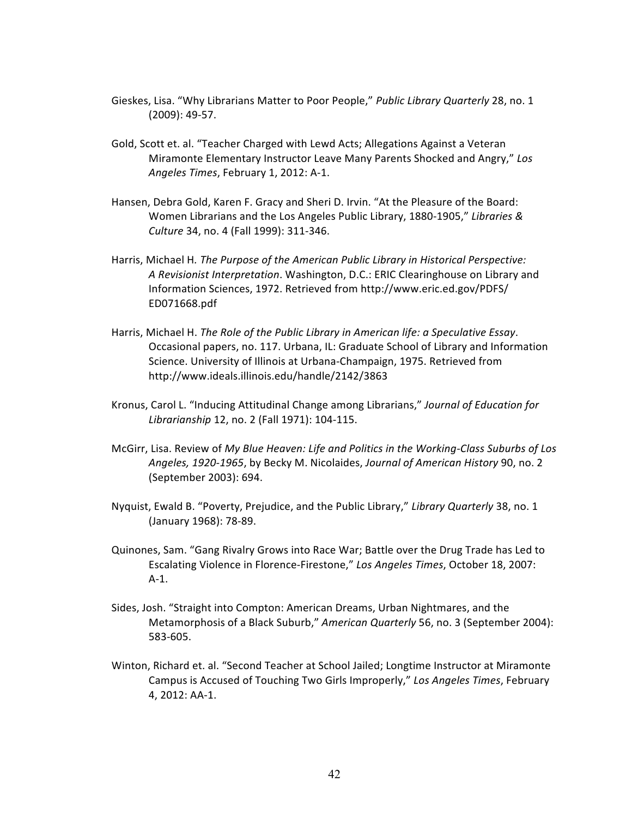- Gieskes, Lisa. "Why Librarians Matter to Poor People," Public Library Quarterly 28, no. 1 (2009): 49-57.
- Gold, Scott et. al. "Teacher Charged with Lewd Acts; Allegations Against a Veteran Miramonte Elementary Instructor Leave Many Parents Shocked and Angry," Los Angeles Times, February 1, 2012: A-1.
- Hansen, Debra Gold, Karen F. Gracy and Sheri D. Irvin. "At the Pleasure of the Board: Women Librarians and the Los Angeles Public Library, 1880-1905," Libraries & *Culture* 34, no. 4 (Fall 1999): 311-346.
- Harris, Michael H. The Purpose of the American Public Library in Historical Perspective: A Revisionist Interpretation. Washington, D.C.: ERIC Clearinghouse on Library and Information Sciences, 1972. Retrieved from http://www.eric.ed.gov/PDFS/ ED071668.pdf
- Harris, Michael H. *The Role of the Public Library in American life: a Speculative Essay.* Occasional papers, no. 117. Urbana, IL: Graduate School of Library and Information Science. University of Illinois at Urbana-Champaign, 1975. Retrieved from http://www.ideals.illinois.edu/handle/2142/3863
- Kronus, Carol L. "Inducing Attitudinal Change among Librarians," *Journal of Education for Librarianship* 12, no. 2 (Fall 1971): 104-115.
- McGirr, Lisa. Review of My Blue Heaven: Life and Politics in the Working-Class Suburbs of Los *Angeles, 1920-1965*, by Becky M. Nicolaides, *Journal of American History* 90, no. 2 (September 2003): 694.
- Nyquist, Ewald B. "Poverty, Prejudice, and the Public Library," Library Quarterly 38, no. 1 (January 1968): 78-89.
- Quinones, Sam. "Gang Rivalry Grows into Race War; Battle over the Drug Trade has Led to Escalating Violence in Florence-Firestone," Los Angeles Times, October 18, 2007: A-1.
- Sides, Josh. "Straight into Compton: American Dreams, Urban Nightmares, and the Metamorphosis of a Black Suburb," American Quarterly 56, no. 3 (September 2004): 583-605.
- Winton, Richard et. al. "Second Teacher at School Jailed; Longtime Instructor at Miramonte Campus is Accused of Touching Two Girls Improperly," Los Angeles Times, February 4. 2012: AA-1.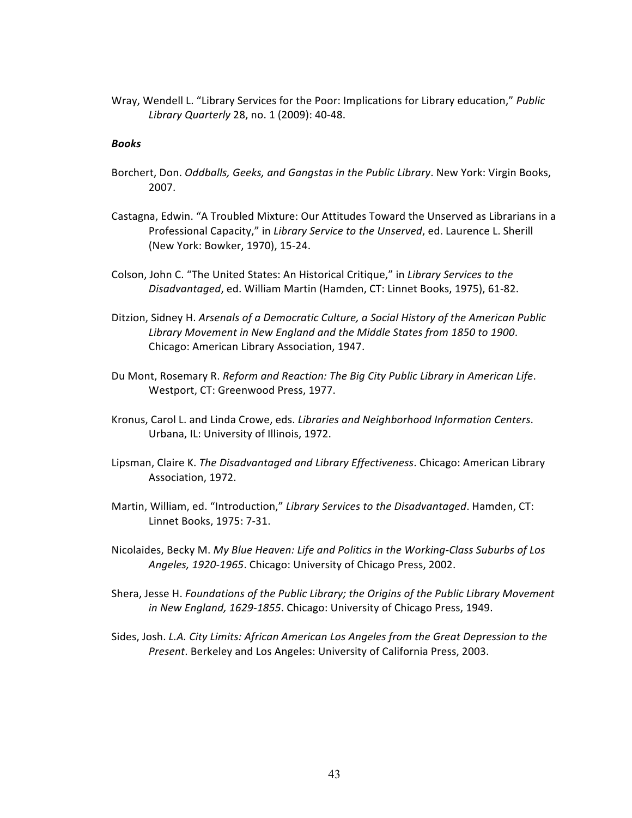Wray, Wendell L. "Library Services for the Poor: Implications for Library education," *Public Library Quarterly* 28, no. 1 (2009): 40-48.

### *Books*

- Borchert, Don. *Oddballs, Geeks, and Gangstas in the Public Library*. New York: Virgin Books, 2007.
- Castagna, Edwin. "A Troubled Mixture: Our Attitudes Toward the Unserved as Librarians in a Professional Capacity," in *Library Service to the Unserved*, ed. Laurence L. Sherill (New York: Bowker, 1970), 15-24.
- Colson, John C. "The United States: An Historical Critique," in *Library Services to the* Disadvantaged, ed. William Martin (Hamden, CT: Linnet Books, 1975), 61-82.
- Ditzion, Sidney H. Arsenals of a Democratic Culture, a Social History of the American Public Library Movement in New England and the Middle States from 1850 to 1900. Chicago: American Library Association, 1947.
- Du Mont, Rosemary R. *Reform and Reaction: The Big City Public Library in American Life.* Westport, CT: Greenwood Press, 1977.
- Kronus, Carol L. and Linda Crowe, eds. Libraries and Neighborhood Information Centers. Urbana, IL: University of Illinois, 1972.
- Lipsman, Claire K. *The Disadvantaged and Library Effectiveness*. Chicago: American Library Association, 1972.
- Martin, William, ed. "Introduction," Library Services to the Disadvantaged. Hamden, CT: Linnet Books, 1975: 7-31.
- Nicolaides, Becky M. My Blue Heaven: Life and Politics in the Working-Class Suburbs of Los Angeles, 1920-1965. Chicago: University of Chicago Press, 2002.
- Shera, Jesse H. *Foundations of the Public Library; the Origins of the Public Library Movement* in New England, 1629-1855. Chicago: University of Chicago Press, 1949.
- Sides, Josh. *L.A. City Limits: African American Los Angeles from the Great Depression to the Present*. Berkeley and Los Angeles: University of California Press, 2003.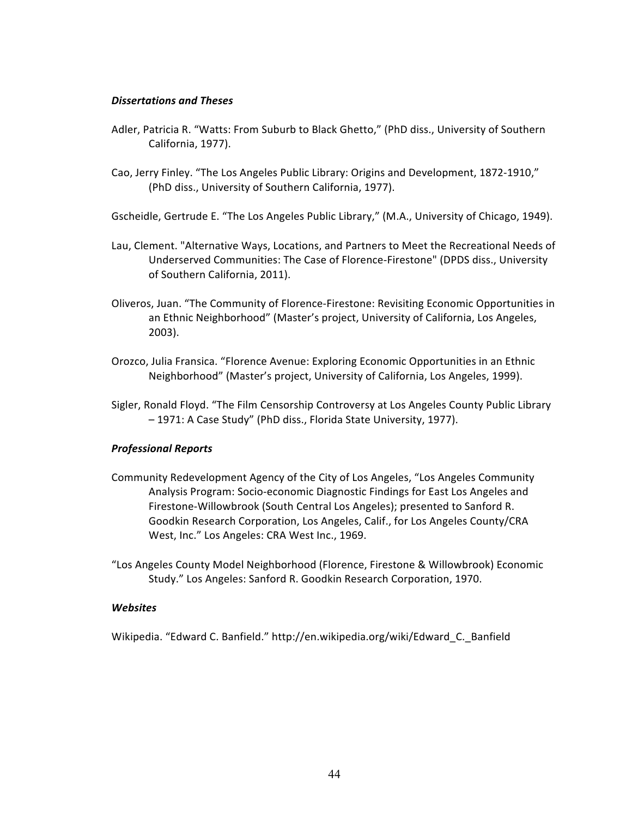## *Dissertations and Theses*

- Adler, Patricia R. "Watts: From Suburb to Black Ghetto," (PhD diss., University of Southern California, 1977).
- Cao, Jerry Finley. "The Los Angeles Public Library: Origins and Development, 1872-1910," (PhD diss., University of Southern California, 1977).

Gscheidle, Gertrude E. "The Los Angeles Public Library," (M.A., University of Chicago, 1949).

- Lau, Clement. "Alternative Ways, Locations, and Partners to Meet the Recreational Needs of Underserved Communities: The Case of Florence-Firestone" (DPDS diss., University of Southern California, 2011).
- Oliveros, Juan. "The Community of Florence-Firestone: Revisiting Economic Opportunities in an Ethnic Neighborhood" (Master's project, University of California, Los Angeles, 2003).
- Orozco, Julia Fransica. "Florence Avenue: Exploring Economic Opportunities in an Ethnic Neighborhood" (Master's project, University of California, Los Angeles, 1999).
- Sigler, Ronald Floyd. "The Film Censorship Controversy at Los Angeles County Public Library - 1971: A Case Study" (PhD diss., Florida State University, 1977).

## *Professional Reports*

- Community Redevelopment Agency of the City of Los Angeles, "Los Angeles Community Analysis Program: Socio-economic Diagnostic Findings for East Los Angeles and Firestone-Willowbrook (South Central Los Angeles); presented to Sanford R. Goodkin Research Corporation, Los Angeles, Calif., for Los Angeles County/CRA West, Inc." Los Angeles: CRA West Inc., 1969.
- "Los Angeles County Model Neighborhood (Florence, Firestone & Willowbrook) Economic Study." Los Angeles: Sanford R. Goodkin Research Corporation, 1970.

## *Websites*

Wikipedia. "Edward C. Banfield." http://en.wikipedia.org/wiki/Edward C. Banfield